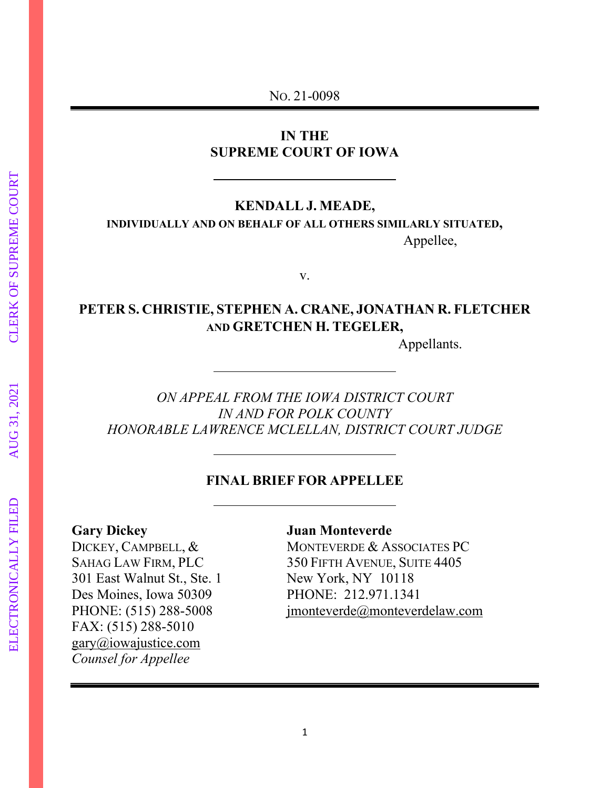NO. 21-0098

# **IN THE SUPREME COURT OF IOWA**

#### **KENDALL J. MEADE,**

**INDIVIDUALLY AND ON BEHALF OF ALL OTHERS SIMILARLY SITUATED,** Appellee,

v.

# **PETER S. CHRISTIE, STEPHEN A. CRANE, JONATHAN R. FLETCHER AND GRETCHEN H. TEGELER,**

Appellants.

*ON APPEAL FROM THE IOWA DISTRICT COURT IN AND FOR POLK COUNTY HONORABLE LAWRENCE MCLELLAN, DISTRICT COURT JUDGE*

#### **FINAL BRIEF FOR APPELLEE**

301 East Walnut St., Ste. 1 Des Moines, Iowa 50309 PHONE: 212.971.1341 FAX: (515) 288-5010 [gary@iowajustice.com](mailto:gary@iowajustice.com) *Counsel for Appellee*

# **Gary Dickey Juan Monteverde**

DICKEY, CAMPBELL, & MONTEVERDE & ASSOCIATES PC<br>SAHAG LAW FIRM, PLC 350 FIFTH AVENUE, SUITE 4405 350 FIFTH AVENUE, SUITE 4405<br>New York, NY 10118 PHONE: (515) 288-5008 jmonteverde@monteverdelaw.com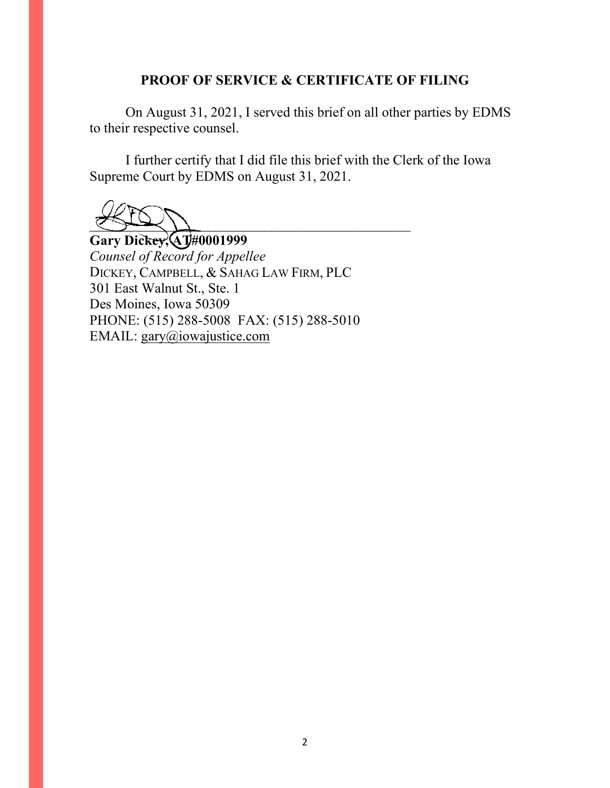# **PROOF OF SERVICE & CERTIFICATE OF FILING**

On August 31, 2021, I served this brief on all other parties by EDMS to their respective counsel.

I further certify that I did file this brief with the Clerk of the Iowa Supreme Court by EDMS on August 31, 2021.

 $\frac{1}{2}$ 

**Gary Dickey, AT#0001999** *Counsel of Record for Appellee* DICKEY, CAMPBELL, & SAHAG LAW FIRM, PLC 301 East Walnut St., Ste. 1 Des Moines, Iowa 50309 PHONE: (515) 288-5008 FAX: (515) 288-5010 EMAIL: [gary@iowajustice.com](mailto:gary@dickeycampbell.com)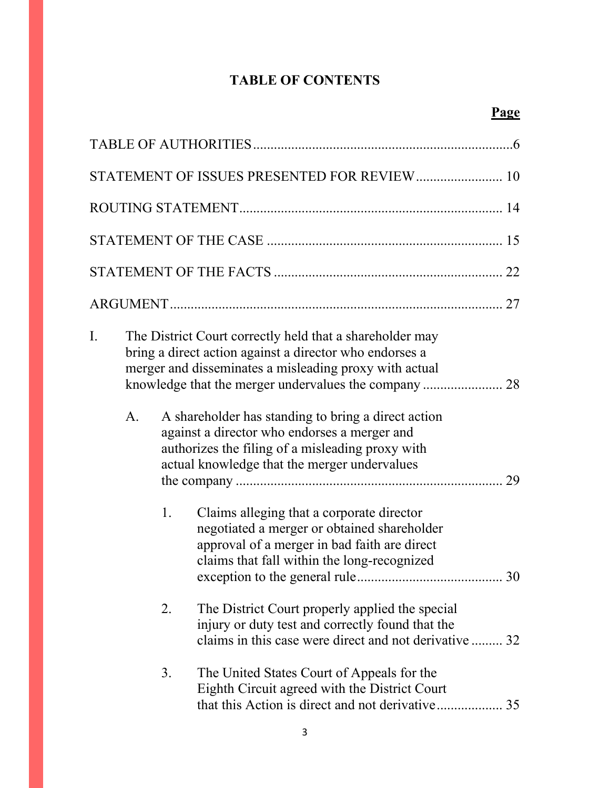# **TABLE OF CONTENTS**

| STATEMENT OF ISSUES PRESENTED FOR REVIEW 10 |    |    |                                                                                                                                                                                                                                                                                                                                                                                                |  |
|---------------------------------------------|----|----|------------------------------------------------------------------------------------------------------------------------------------------------------------------------------------------------------------------------------------------------------------------------------------------------------------------------------------------------------------------------------------------------|--|
|                                             |    |    |                                                                                                                                                                                                                                                                                                                                                                                                |  |
|                                             |    |    |                                                                                                                                                                                                                                                                                                                                                                                                |  |
|                                             |    |    |                                                                                                                                                                                                                                                                                                                                                                                                |  |
|                                             |    |    |                                                                                                                                                                                                                                                                                                                                                                                                |  |
| I.                                          | A. |    | The District Court correctly held that a shareholder may<br>bring a direct action against a director who endorses a<br>merger and disseminates a misleading proxy with actual<br>A shareholder has standing to bring a direct action<br>against a director who endorses a merger and<br>authorizes the filing of a misleading proxy with<br>actual knowledge that the merger undervalues<br>29 |  |
|                                             |    | 1. | Claims alleging that a corporate director<br>negotiated a merger or obtained shareholder<br>approval of a merger in bad faith are direct<br>claims that fall within the long-recognized                                                                                                                                                                                                        |  |
|                                             |    | 2. | The District Court properly applied the special<br>injury or duty test and correctly found that the<br>claims in this case were direct and not derivative  32                                                                                                                                                                                                                                  |  |
|                                             |    | 3. | The United States Court of Appeals for the<br>Eighth Circuit agreed with the District Court                                                                                                                                                                                                                                                                                                    |  |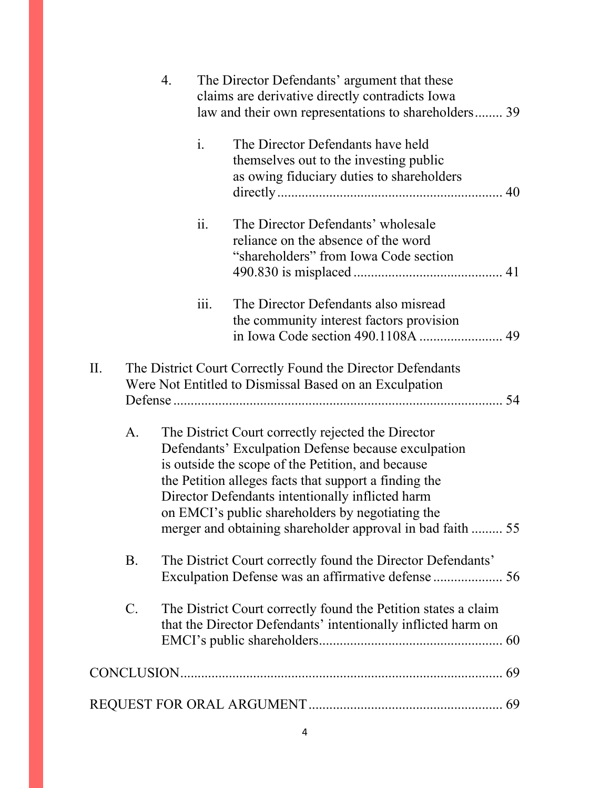|                                                                                                                                                                                                                                                                                                                                                                                                     | 4.        |  |                | The Director Defendants' argument that these<br>claims are derivative directly contradicts Iowa<br>law and their own representations to shareholders 39 |  |
|-----------------------------------------------------------------------------------------------------------------------------------------------------------------------------------------------------------------------------------------------------------------------------------------------------------------------------------------------------------------------------------------------------|-----------|--|----------------|---------------------------------------------------------------------------------------------------------------------------------------------------------|--|
|                                                                                                                                                                                                                                                                                                                                                                                                     |           |  | $\mathbf{i}$ . | The Director Defendants have held<br>themselves out to the investing public<br>as owing fiduciary duties to shareholders                                |  |
|                                                                                                                                                                                                                                                                                                                                                                                                     |           |  | ii.            | The Director Defendants' wholesale<br>reliance on the absence of the word<br>"shareholders" from Iowa Code section                                      |  |
|                                                                                                                                                                                                                                                                                                                                                                                                     |           |  | 111.           | The Director Defendants also misread<br>the community interest factors provision                                                                        |  |
| Π.                                                                                                                                                                                                                                                                                                                                                                                                  |           |  |                | The District Court Correctly Found the Director Defendants<br>Were Not Entitled to Dismissal Based on an Exculpation                                    |  |
| A.<br>The District Court correctly rejected the Director<br>Defendants' Exculpation Defense because exculpation<br>is outside the scope of the Petition, and because<br>the Petition alleges facts that support a finding the<br>Director Defendants intentionally inflicted harm<br>on EMCI's public shareholders by negotiating the<br>merger and obtaining shareholder approval in bad faith  55 |           |  |                |                                                                                                                                                         |  |
|                                                                                                                                                                                                                                                                                                                                                                                                     | <b>B.</b> |  |                | The District Court correctly found the Director Defendants'<br>Exculpation Defense was an affirmative defense  56                                       |  |
|                                                                                                                                                                                                                                                                                                                                                                                                     | $C$ .     |  |                | The District Court correctly found the Petition states a claim<br>that the Director Defendants' intentionally inflicted harm on                         |  |
|                                                                                                                                                                                                                                                                                                                                                                                                     |           |  |                |                                                                                                                                                         |  |
|                                                                                                                                                                                                                                                                                                                                                                                                     |           |  |                |                                                                                                                                                         |  |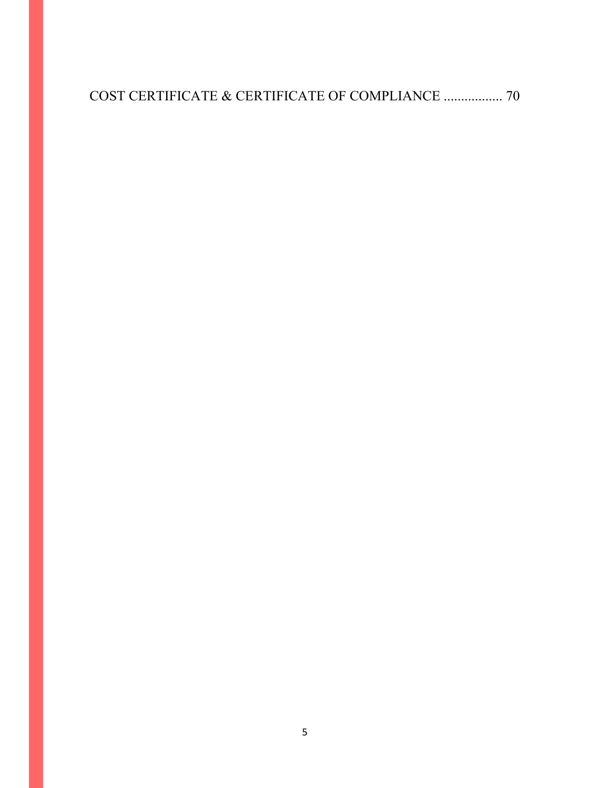COST CERTIFICATE & CERTIFICATE OF COMPLIANCE ................. 70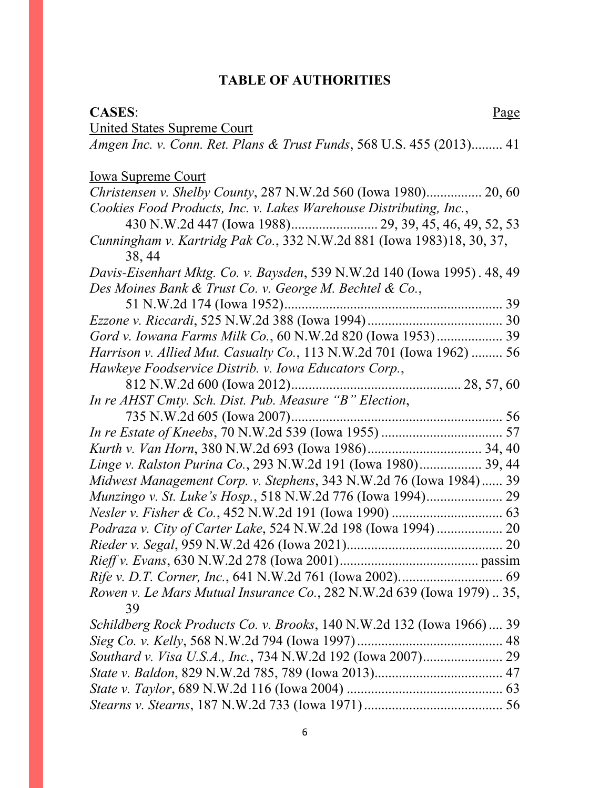# **TABLE OF AUTHORITIES**

### **CASES:** Page

| <b>United States Supreme Court</b>                                              |
|---------------------------------------------------------------------------------|
| Amgen Inc. v. Conn. Ret. Plans & Trust Funds, 568 U.S. 455 (2013) 41            |
| <b>Iowa Supreme Court</b>                                                       |
| Christensen v. Shelby County, 287 N.W.2d 560 (Iowa 1980) 20, 60                 |
| Cookies Food Products, Inc. v. Lakes Warehouse Distributing, Inc.,              |
|                                                                                 |
| Cunningham v. Kartridg Pak Co., 332 N.W.2d 881 (Iowa 1983)18, 30, 37,<br>38, 44 |
| Davis-Eisenhart Mktg. Co. v. Baysden, 539 N.W.2d 140 (Iowa 1995). 48, 49        |
| Des Moines Bank & Trust Co. v. George M. Bechtel & Co.,                         |
|                                                                                 |
|                                                                                 |
| Gord v. Iowana Farms Milk Co., 60 N.W.2d 820 (Iowa 1953) 39                     |
| Harrison v. Allied Mut. Casualty Co., 113 N.W.2d 701 (Iowa 1962)  56            |
| Hawkeye Foodservice Distrib. v. Iowa Educators Corp.,                           |
|                                                                                 |
| In re AHST Cmty. Sch. Dist. Pub. Measure "B" Election,                          |
|                                                                                 |
|                                                                                 |
|                                                                                 |
| Linge v. Ralston Purina Co., 293 N.W.2d 191 (Iowa 1980) 39, 44                  |
| Midwest Management Corp. v. Stephens, 343 N.W.2d 76 (Iowa 1984) 39              |
|                                                                                 |
|                                                                                 |
| Podraza v. City of Carter Lake, 524 N.W.2d 198 (Iowa 1994)  20                  |
|                                                                                 |
|                                                                                 |
|                                                                                 |
| Rowen v. Le Mars Mutual Insurance Co., 282 N.W.2d 639 (Iowa 1979)  35,<br>39    |
| Schildberg Rock Products Co. v. Brooks, 140 N.W.2d 132 (Iowa 1966) 39           |
|                                                                                 |
| Southard v. Visa U.S.A., Inc., 734 N.W.2d 192 (Iowa 2007) 29                    |
|                                                                                 |
|                                                                                 |
|                                                                                 |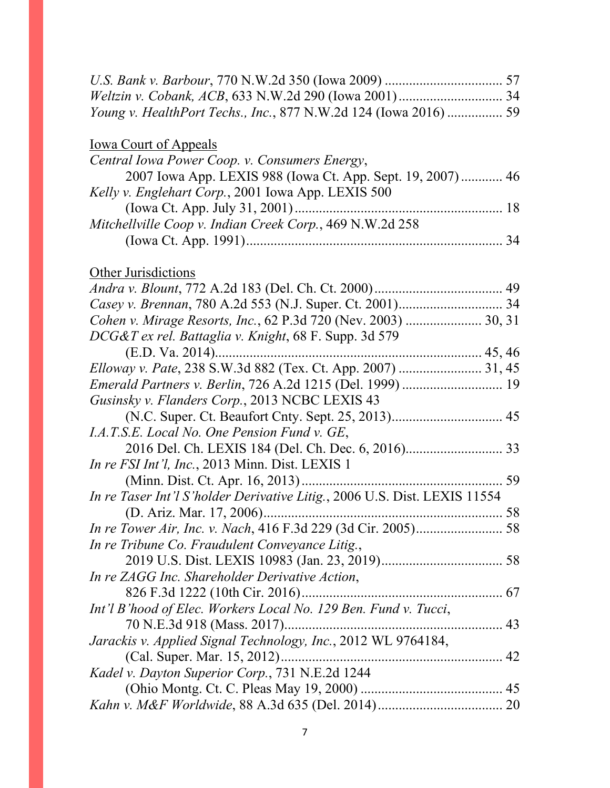| Young v. HealthPort Techs., Inc., 877 N.W.2d 124 (Iowa 2016)  59          |  |
|---------------------------------------------------------------------------|--|
| <b>Iowa Court of Appeals</b>                                              |  |
| Central Iowa Power Coop. v. Consumers Energy,                             |  |
| 2007 Iowa App. LEXIS 988 (Iowa Ct. App. Sept. 19, 2007) 46                |  |
| Kelly v. Englehart Corp., 2001 Iowa App. LEXIS 500                        |  |
|                                                                           |  |
| Mitchellville Coop v. Indian Creek Corp., 469 N.W.2d 258                  |  |
|                                                                           |  |
| <b>Other Jurisdictions</b>                                                |  |
|                                                                           |  |
|                                                                           |  |
| Cohen v. Mirage Resorts, Inc., 62 P.3d 720 (Nev. 2003)  30, 31            |  |
| DCG&T ex rel. Battaglia v. Knight, 68 F. Supp. 3d 579                     |  |
|                                                                           |  |
| Elloway v. Pate, 238 S.W.3d 882 (Tex. Ct. App. 2007)  31, 45              |  |
| Emerald Partners v. Berlin, 726 A.2d 1215 (Del. 1999)  19                 |  |
| Gusinsky v. Flanders Corp., 2013 NCBC LEXIS 43                            |  |
| (N.C. Super. Ct. Beaufort Cnty. Sept. 25, 2013) 45                        |  |
| I.A.T.S.E. Local No. One Pension Fund v. GE,                              |  |
|                                                                           |  |
| In re FSI Int'l, Inc., 2013 Minn. Dist. LEXIS 1                           |  |
|                                                                           |  |
| In re Taser Int'l S'holder Derivative Litig., 2006 U.S. Dist. LEXIS 11554 |  |
|                                                                           |  |
|                                                                           |  |
| In re Tribune Co. Fraudulent Conveyance Litig.,                           |  |
|                                                                           |  |
| In re ZAGG Inc. Shareholder Derivative Action,                            |  |
|                                                                           |  |
| Int'l B'hood of Elec. Workers Local No. 129 Ben. Fund v. Tucci,           |  |
|                                                                           |  |
| Jarackis v. Applied Signal Technology, Inc., 2012 WL 9764184,             |  |
|                                                                           |  |
| Kadel v. Dayton Superior Corp., 731 N.E.2d 1244                           |  |
|                                                                           |  |
|                                                                           |  |
|                                                                           |  |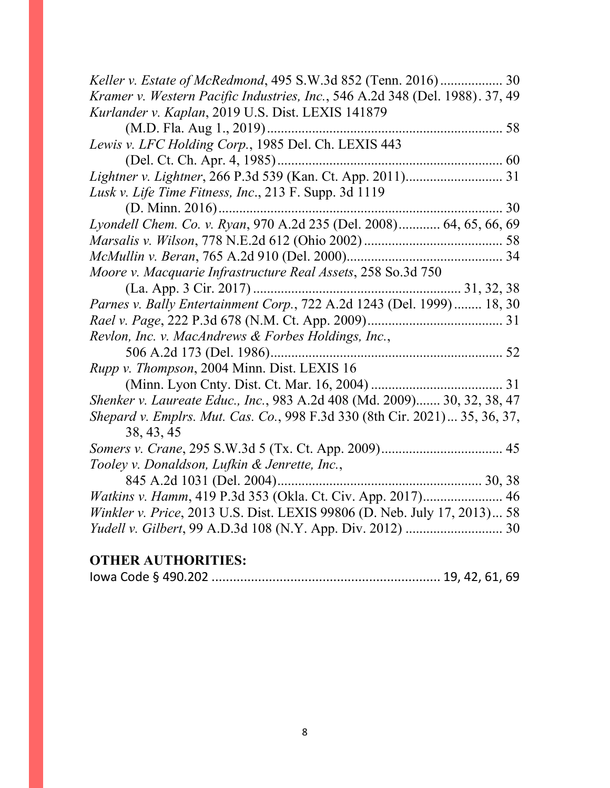| Keller v. Estate of McRedmond, 495 S.W.3d 852 (Tenn. 2016) 30                |
|------------------------------------------------------------------------------|
| Kramer v. Western Pacific Industries, Inc., 546 A.2d 348 (Del. 1988). 37, 49 |
| Kurlander v. Kaplan, 2019 U.S. Dist. LEXIS 141879                            |
|                                                                              |
| Lewis v. LFC Holding Corp., 1985 Del. Ch. LEXIS 443                          |
|                                                                              |
|                                                                              |
| Lusk v. Life Time Fitness, Inc., 213 F. Supp. 3d 1119                        |
| 30                                                                           |
| Lyondell Chem. Co. v. Ryan, 970 A.2d 235 (Del. 2008) 64, 65, 66, 69          |
|                                                                              |
|                                                                              |
| Moore v. Macquarie Infrastructure Real Assets, 258 So.3d 750                 |
|                                                                              |
| Parnes v. Bally Entertainment Corp., 722 A.2d 1243 (Del. 1999) 18, 30        |
|                                                                              |
| Revlon, Inc. v. MacAndrews & Forbes Holdings, Inc.,                          |
|                                                                              |
| <i>Rupp v. Thompson, 2004 Minn. Dist. LEXIS 16</i>                           |
|                                                                              |
| Shenker v. Laureate Educ., Inc., 983 A.2d 408 (Md. 2009) 30, 32, 38, 47      |
| Shepard v. Emplrs. Mut. Cas. Co., 998 F.3d 330 (8th Cir. 2021) 35, 36, 37,   |
| 38, 43, 45                                                                   |
|                                                                              |
| Tooley v. Donaldson, Lufkin & Jenrette, Inc.,                                |
|                                                                              |
| Watkins v. Hamm, 419 P.3d 353 (Okla. Ct. Civ. App. 2017) 46                  |
| Winkler v. Price, 2013 U.S. Dist. LEXIS 99806 (D. Neb. July 17, 2013) 58     |
|                                                                              |
| ОТНЕР АНТНОРИТЕС.                                                            |

# **OTHER AUTHORITIES:**

|--|--|--|--|--|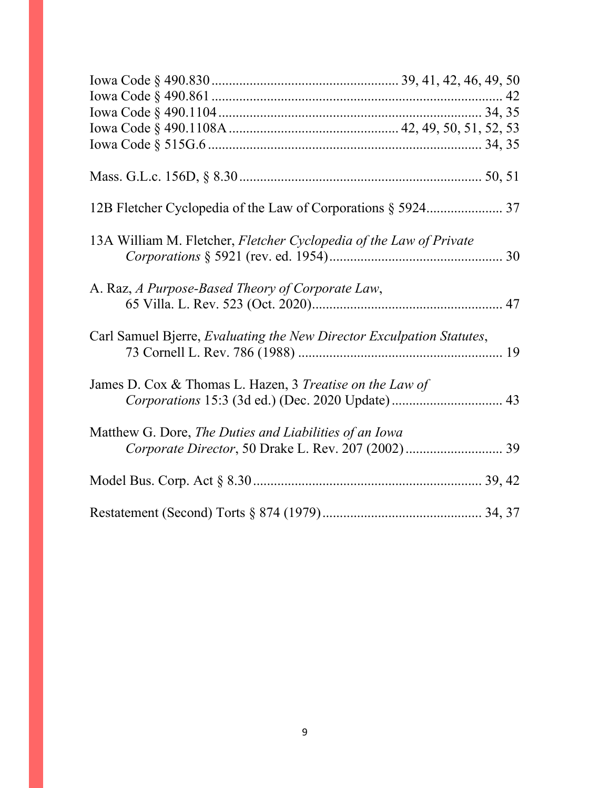| 13A William M. Fletcher, Fletcher Cyclopedia of the Law of Private                                            |  |
|---------------------------------------------------------------------------------------------------------------|--|
| A. Raz, A Purpose-Based Theory of Corporate Law,                                                              |  |
| Carl Samuel Bjerre, Evaluating the New Director Exculpation Statutes,                                         |  |
| James D. Cox & Thomas L. Hazen, 3 Treatise on the Law of<br>Corporations 15:3 (3d ed.) (Dec. 2020 Update)  43 |  |
| Matthew G. Dore, The Duties and Liabilities of an Iowa                                                        |  |
|                                                                                                               |  |
|                                                                                                               |  |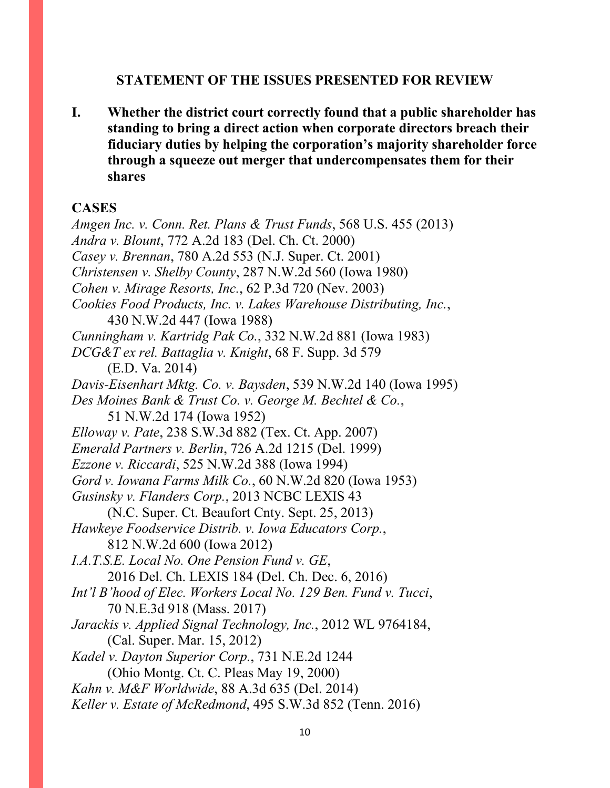### **STATEMENT OF THE ISSUES PRESENTED FOR REVIEW**

**I. Whether the district court correctly found that a public shareholder has standing to bring a direct action when corporate directors breach their fiduciary duties by helping the corporation's majority shareholder force through a squeeze out merger that undercompensates them for their shares**

### **CASES**

*Amgen Inc. v. Conn. Ret. Plans & Trust Funds*, 568 U.S. 455 (2013) *Andra v. Blount*, 772 A.2d 183 (Del. Ch. Ct. 2000) *Casey v. Brennan*, 780 A.2d 553 (N.J. Super. Ct. 2001) *Christensen v. Shelby County*, 287 N.W.2d 560 (Iowa 1980) *Cohen v. Mirage Resorts, Inc.*, 62 P.3d 720 (Nev. 2003) *Cookies Food Products, Inc. v. Lakes Warehouse Distributing, Inc.*, 430 N.W.2d 447 (Iowa 1988) *Cunningham v. Kartridg Pak Co.*, 332 N.W.2d 881 (Iowa 1983) *DCG&T ex rel. Battaglia v. Knight*, 68 F. Supp. 3d 579 (E.D. Va. 2014) *Davis-Eisenhart Mktg. Co. v. Baysden*, 539 N.W.2d 140 (Iowa 1995) *Des Moines Bank & Trust Co. v. George M. Bechtel & Co.*, 51 N.W.2d 174 (Iowa 1952) *Elloway v. Pate*, 238 S.W.3d 882 (Tex. Ct. App. 2007) *Emerald Partners v. Berlin*, 726 A.2d 1215 (Del. 1999) *Ezzone v. Riccardi*, 525 N.W.2d 388 (Iowa 1994) *Gord v. Iowana Farms Milk Co.*, 60 N.W.2d 820 (Iowa 1953) *Gusinsky v. Flanders Corp.*, 2013 NCBC LEXIS 43 (N.C. Super. Ct. Beaufort Cnty. Sept. 25, 2013) *Hawkeye Foodservice Distrib. v. Iowa Educators Corp.*, 812 N.W.2d 600 (Iowa 2012) *I.A.T.S.E. Local No. One Pension Fund v. GE*, 2016 Del. Ch. LEXIS 184 (Del. Ch. Dec. 6, 2016) *Int'l B'hood of Elec. Workers Local No. 129 Ben. Fund v. Tucci*, 70 N.E.3d 918 (Mass. 2017) *Jarackis v. Applied Signal Technology, Inc.*, 2012 WL 9764184, (Cal. Super. Mar. 15, 2012) *Kadel v. Dayton Superior Corp.*, 731 N.E.2d 1244 (Ohio Montg. Ct. C. Pleas May 19, 2000) *Kahn v. M&F Worldwide*, 88 A.3d 635 (Del. 2014) *Keller v. Estate of McRedmond*, 495 S.W.3d 852 (Tenn. 2016)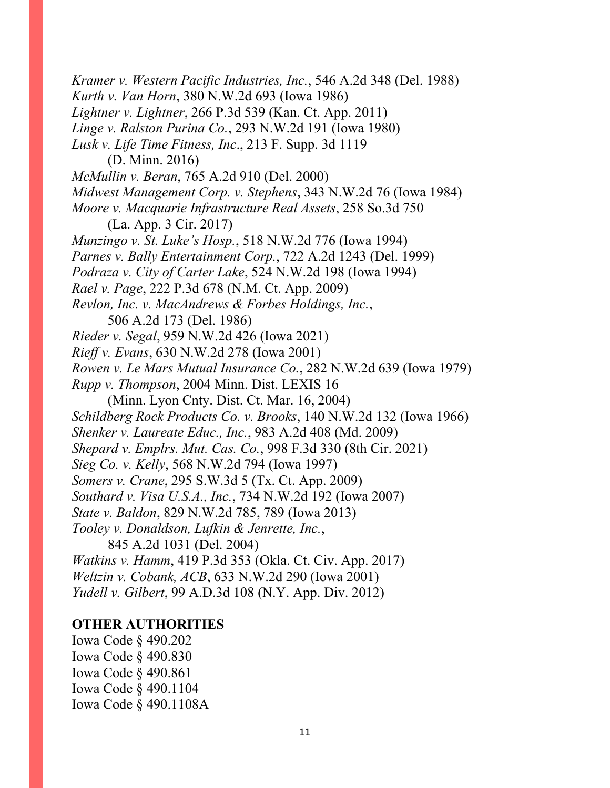*Kramer v. Western Pacific Industries, Inc.*, 546 A.2d 348 (Del. 1988) *Kurth v. Van Horn*, 380 N.W.2d 693 (Iowa 1986) *Lightner v. Lightner*, 266 P.3d 539 (Kan. Ct. App. 2011) *Linge v. Ralston Purina Co.*, 293 N.W.2d 191 (Iowa 1980) *Lusk v. Life Time Fitness, Inc*., 213 F. Supp. 3d 1119 (D. Minn. 2016) *McMullin v. Beran*, 765 A.2d 910 (Del. 2000) *Midwest Management Corp. v. Stephens*, 343 N.W.2d 76 (Iowa 1984) *Moore v. Macquarie Infrastructure Real Assets*, 258 So.3d 750 (La. App. 3 Cir. 2017) *Munzingo v. St. Luke's Hosp.*, 518 N.W.2d 776 (Iowa 1994) *Parnes v. Bally Entertainment Corp.*, 722 A.2d 1243 (Del. 1999) *Podraza v. City of Carter Lake*, 524 N.W.2d 198 (Iowa 1994) *Rael v. Page*, 222 P.3d 678 (N.M. Ct. App. 2009) *Revlon, Inc. v. MacAndrews & Forbes Holdings, Inc.*, 506 A.2d 173 (Del. 1986) *Rieder v. Segal*, 959 N.W.2d 426 (Iowa 2021) *Rieff v. Evans*, 630 N.W.2d 278 (Iowa 2001) *Rowen v. Le Mars Mutual Insurance Co.*, 282 N.W.2d 639 (Iowa 1979) *Rupp v. Thompson*, 2004 Minn. Dist. LEXIS 16 (Minn. Lyon Cnty. Dist. Ct. Mar. 16, 2004) *Schildberg Rock Products Co. v. Brooks*, 140 N.W.2d 132 (Iowa 1966) *Shenker v. Laureate Educ., Inc.*, 983 A.2d 408 (Md. 2009) *Shepard v. Emplrs. Mut. Cas. Co.*, 998 F.3d 330 (8th Cir. 2021) *Sieg Co. v. Kelly*, 568 N.W.2d 794 (Iowa 1997) *Somers v. Crane*, 295 S.W.3d 5 (Tx. Ct. App. 2009) *Southard v. Visa U.S.A., Inc.*, 734 N.W.2d 192 (Iowa 2007) *State v. Baldon*, 829 N.W.2d 785, 789 (Iowa 2013) *Tooley v. Donaldson, Lufkin & Jenrette, Inc.*, 845 A.2d 1031 (Del. 2004) *Watkins v. Hamm*, 419 P.3d 353 (Okla. Ct. Civ. App. 2017) *Weltzin v. Cobank, ACB*, 633 N.W.2d 290 (Iowa 2001) *Yudell v. Gilbert*, 99 A.D.3d 108 (N.Y. App. Div. 2012)

## **OTHER AUTHORITIES**

Iowa Code § 490.202 Iowa Code § 490.830 Iowa Code § 490.861 Iowa Code § 490.1104 Iowa Code § 490.1108A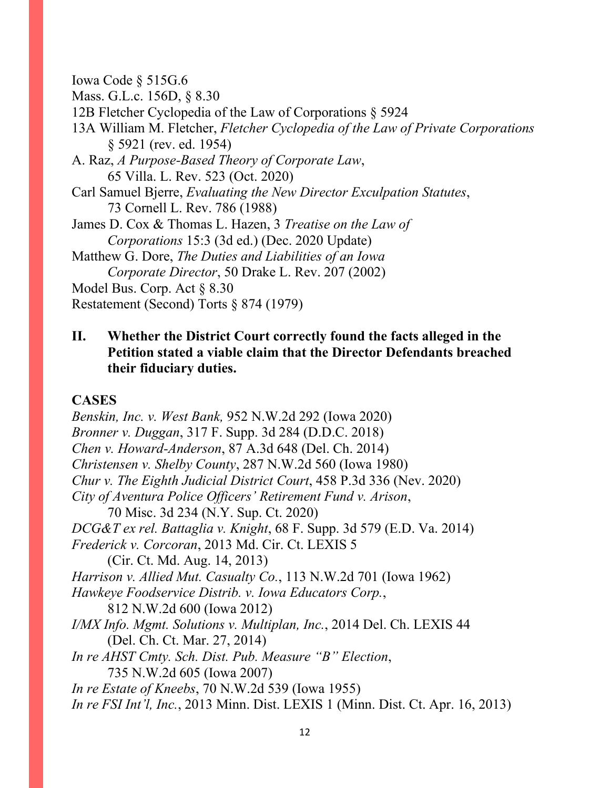Iowa Code § 515G.6

Mass. G.L.c. 156D, § 8.30

12B Fletcher Cyclopedia of the Law of Corporations § 5924

13A William M. Fletcher, *Fletcher Cyclopedia of the Law of Private Corporations* § 5921 (rev. ed. 1954)

A. Raz, *A Purpose-Based Theory of Corporate Law*, 65 Villa. L. Rev. 523 (Oct. 2020)

Carl Samuel Bjerre, *Evaluating the New Director Exculpation Statutes*, 73 Cornell L. Rev. 786 (1988)

James D. Cox & Thomas L. Hazen, 3 *Treatise on the Law of Corporations* 15:3 (3d ed.) (Dec. 2020 Update)

Matthew G. Dore, *The Duties and Liabilities of an Iowa Corporate Director*, 50 Drake L. Rev. 207 (2002)

Model Bus. Corp. Act § 8.30

Restatement (Second) Torts § 874 (1979)

# **II. Whether the District Court correctly found the facts alleged in the Petition stated a viable claim that the Director Defendants breached their fiduciary duties.**

### **CASES**

*Benskin, Inc. v. West Bank,* 952 N.W.2d 292 (Iowa 2020) *Bronner v. Duggan*, 317 F. Supp. 3d 284 (D.D.C. 2018) *Chen v. Howard-Anderson*, 87 A.3d 648 (Del. Ch. 2014) *Christensen v. Shelby County*, 287 N.W.2d 560 (Iowa 1980) *Chur v. The Eighth Judicial District Court*, 458 P.3d 336 (Nev. 2020) *City of Aventura Police Officers' Retirement Fund v. Arison*, 70 Misc. 3d 234 (N.Y. Sup. Ct. 2020) *DCG&T ex rel. Battaglia v. Knight*, 68 F. Supp. 3d 579 (E.D. Va. 2014) *Frederick v. Corcoran*, 2013 Md. Cir. Ct. LEXIS 5 (Cir. Ct. Md. Aug. 14, 2013) *Harrison v. Allied Mut. Casualty Co.*, 113 N.W.2d 701 (Iowa 1962) *Hawkeye Foodservice Distrib. v. Iowa Educators Corp.*, 812 N.W.2d 600 (Iowa 2012) *I/MX Info. Mgmt. Solutions v. Multiplan, Inc.*, 2014 Del. Ch. LEXIS 44 (Del. Ch. Ct. Mar. 27, 2014) *In re AHST Cmty. Sch. Dist. Pub. Measure "B" Election*, 735 N.W.2d 605 (Iowa 2007) *In re Estate of Kneebs*, 70 N.W.2d 539 (Iowa 1955) *In re FSI Int'l, Inc.*, 2013 Minn. Dist. LEXIS 1 (Minn. Dist. Ct. Apr. 16, 2013)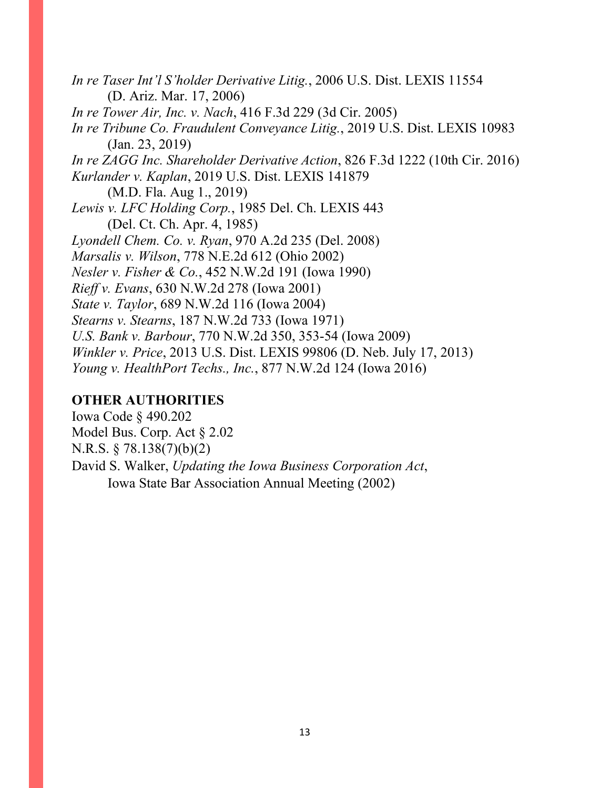*In re Taser Int'l S'holder Derivative Litig.*, 2006 U.S. Dist. LEXIS 11554 (D. Ariz. Mar. 17, 2006) *In re Tower Air, Inc. v. Nach*, 416 F.3d 229 (3d Cir. 2005) *In re Tribune Co. Fraudulent Conveyance Litig.*, 2019 U.S. Dist. LEXIS 10983 (Jan. 23, 2019) *In re ZAGG Inc. Shareholder Derivative Action*, 826 F.3d 1222 (10th Cir. 2016) *Kurlander v. Kaplan*, 2019 U.S. Dist. LEXIS 141879 (M.D. Fla. Aug 1., 2019) *Lewis v. LFC Holding Corp.*, 1985 Del. Ch. LEXIS 443 (Del. Ct. Ch. Apr. 4, 1985) *Lyondell Chem. Co. v. Ryan*, 970 A.2d 235 (Del. 2008) *Marsalis v. Wilson*, 778 N.E.2d 612 (Ohio 2002) *Nesler v. Fisher & Co.*, 452 N.W.2d 191 (Iowa 1990) *Rieff v. Evans*, 630 N.W.2d 278 (Iowa 2001) *State v. Taylor*, 689 N.W.2d 116 (Iowa 2004) *Stearns v. Stearns*, 187 N.W.2d 733 (Iowa 1971) *U.S. Bank v. Barbour*, 770 N.W.2d 350, 353-54 (Iowa 2009) *Winkler v. Price*, 2013 U.S. Dist. LEXIS 99806 (D. Neb. July 17, 2013) *Young v. HealthPort Techs., Inc.*, 877 N.W.2d 124 (Iowa 2016)

# **OTHER AUTHORITIES**

Iowa Code § 490.202 Model Bus. Corp. Act § 2.02 N.R.S. § 78.138(7)(b)(2) David S. Walker, *Updating the Iowa Business Corporation Act*, Iowa State Bar Association Annual Meeting (2002)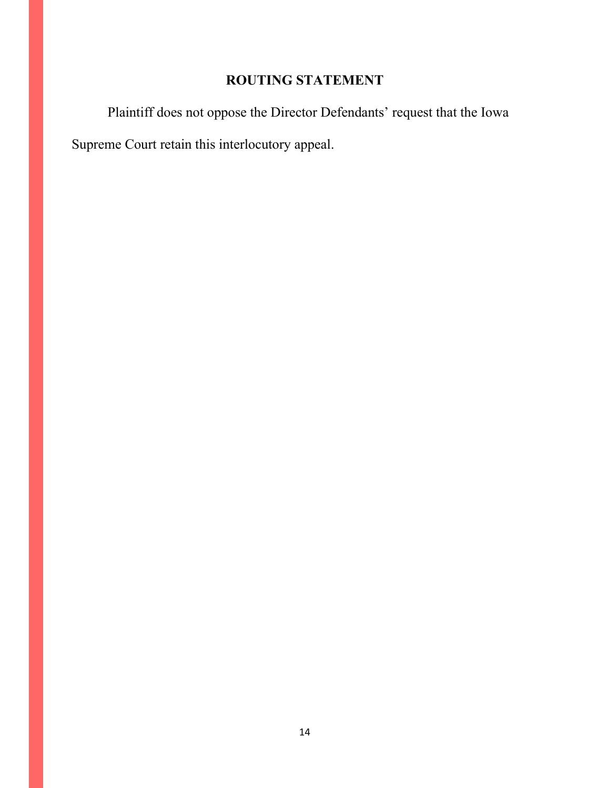# **ROUTING STATEMENT**

Plaintiff does not oppose the Director Defendants' request that the Iowa Supreme Court retain this interlocutory appeal.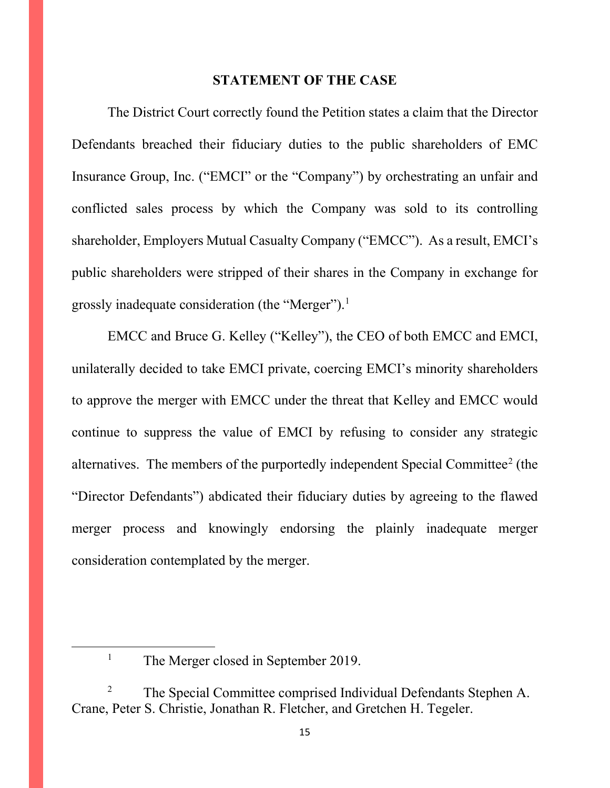#### **STATEMENT OF THE CASE**

The District Court correctly found the Petition states a claim that the Director Defendants breached their fiduciary duties to the public shareholders of EMC Insurance Group, Inc. ("EMCI" or the "Company") by orchestrating an unfair and conflicted sales process by which the Company was sold to its controlling shareholder, Employers Mutual Casualty Company ("EMCC"). As a result, EMCI's public shareholders were stripped of their shares in the Company in exchange for grossly inadequate consideration (the "Merger").<sup>[1](#page-14-0)</sup>

EMCC and Bruce G. Kelley ("Kelley"), the CEO of both EMCC and EMCI, unilaterally decided to take EMCI private, coercing EMCI's minority shareholders to approve the merger with EMCC under the threat that Kelley and EMCC would continue to suppress the value of EMCI by refusing to consider any strategic alternatives. The members of the purportedly independent Special Committee<sup>[2](#page-14-1)</sup> (the "Director Defendants") abdicated their fiduciary duties by agreeing to the flawed merger process and knowingly endorsing the plainly inadequate merger consideration contemplated by the merger.

<sup>&</sup>lt;sup>1</sup> The Merger closed in September 2019.

<span id="page-14-1"></span><span id="page-14-0"></span> $2^2$  The Special Committee comprised Individual Defendants Stephen A. Crane, Peter S. Christie, Jonathan R. Fletcher, and Gretchen H. Tegeler.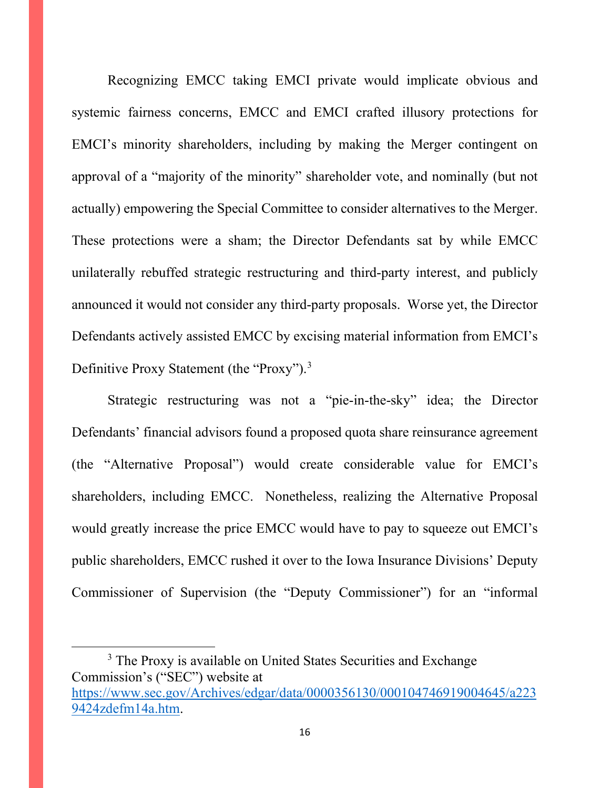Recognizing EMCC taking EMCI private would implicate obvious and systemic fairness concerns, EMCC and EMCI crafted illusory protections for EMCI's minority shareholders, including by making the Merger contingent on approval of a "majority of the minority" shareholder vote, and nominally (but not actually) empowering the Special Committee to consider alternatives to the Merger. These protections were a sham; the Director Defendants sat by while EMCC unilaterally rebuffed strategic restructuring and third-party interest, and publicly announced it would not consider any third-party proposals. Worse yet, the Director Defendants actively assisted EMCC by excising material information from EMCI's Definitive Proxy Statement (the "Proxy").<sup>[3](#page-15-0)</sup>

Strategic restructuring was not a "pie-in-the-sky" idea; the Director Defendants' financial advisors found a proposed quota share reinsurance agreement (the "Alternative Proposal") would create considerable value for EMCI's shareholders, including EMCC. Nonetheless, realizing the Alternative Proposal would greatly increase the price EMCC would have to pay to squeeze out EMCI's public shareholders, EMCC rushed it over to the Iowa Insurance Divisions' Deputy Commissioner of Supervision (the "Deputy Commissioner") for an "informal

<span id="page-15-0"></span><sup>3</sup> The Proxy is available on United States Securities and Exchange Commission's ("SEC") website at [https://www.sec.gov/Archives/edgar/data/0000356130/000104746919004645/a223](https://www.sec.gov/Archives/edgar/data/0000356130/000104746919004645/a2239424zdefm14a.htm) [9424zdefm14a.htm.](https://www.sec.gov/Archives/edgar/data/0000356130/000104746919004645/a2239424zdefm14a.htm)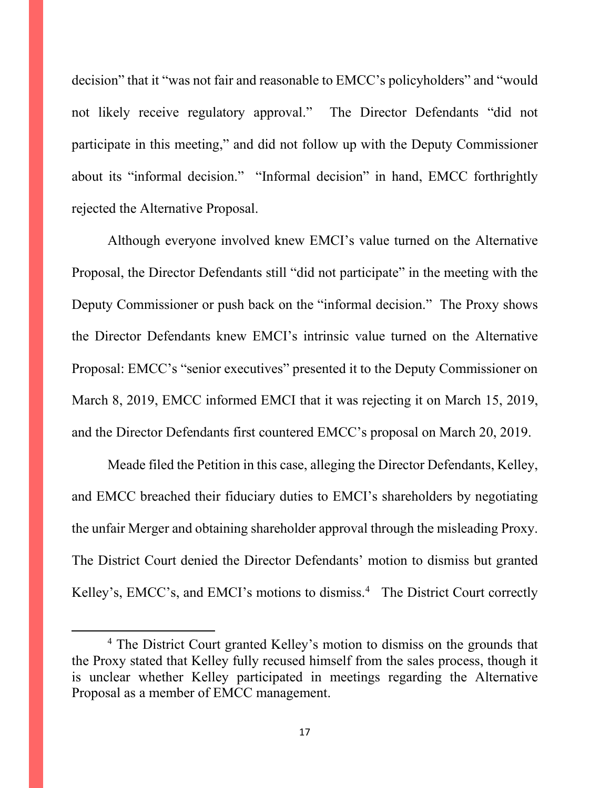decision" that it "was not fair and reasonable to EMCC's policyholders" and "would not likely receive regulatory approval." The Director Defendants "did not participate in this meeting," and did not follow up with the Deputy Commissioner about its "informal decision." "Informal decision" in hand, EMCC forthrightly rejected the Alternative Proposal.

Although everyone involved knew EMCI's value turned on the Alternative Proposal, the Director Defendants still "did not participate" in the meeting with the Deputy Commissioner or push back on the "informal decision." The Proxy shows the Director Defendants knew EMCI's intrinsic value turned on the Alternative Proposal: EMCC's "senior executives" presented it to the Deputy Commissioner on March 8, 2019, EMCC informed EMCI that it was rejecting it on March 15, 2019, and the Director Defendants first countered EMCC's proposal on March 20, 2019.

Meade filed the Petition in this case, alleging the Director Defendants, Kelley, and EMCC breached their fiduciary duties to EMCI's shareholders by negotiating the unfair Merger and obtaining shareholder approval through the misleading Proxy. The District Court denied the Director Defendants' motion to dismiss but granted Kelley's, EMCC's, and EMCI's motions to dismiss.<sup>[4](#page-16-0)</sup> The District Court correctly

<span id="page-16-0"></span><sup>&</sup>lt;sup>4</sup> The District Court granted Kelley's motion to dismiss on the grounds that the Proxy stated that Kelley fully recused himself from the sales process, though it is unclear whether Kelley participated in meetings regarding the Alternative Proposal as a member of EMCC management.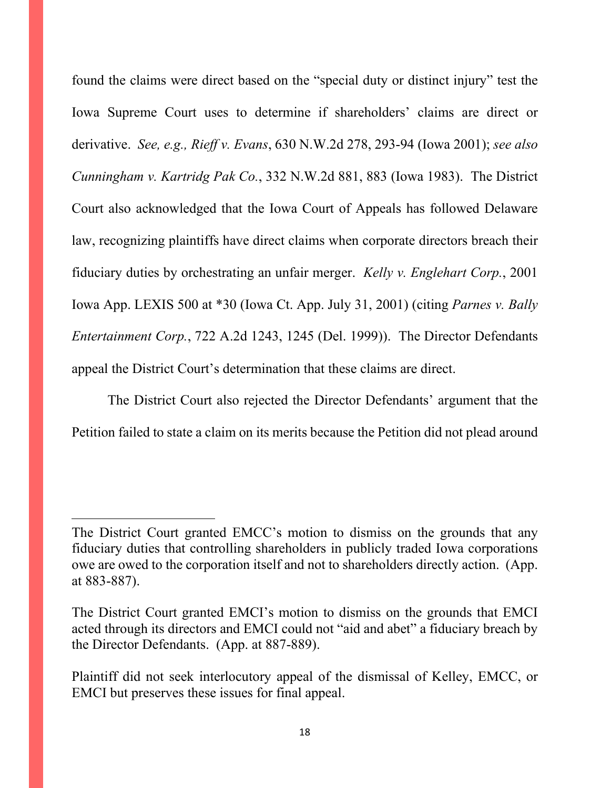found the claims were direct based on the "special duty or distinct injury" test the Iowa Supreme Court uses to determine if shareholders' claims are direct or derivative. *See, e.g., Rieff v. Evans*, 630 N.W.2d 278, 293-94 (Iowa 2001); *see also Cunningham v. Kartridg Pak Co.*, 332 N.W.2d 881, 883 (Iowa 1983). The District Court also acknowledged that the Iowa Court of Appeals has followed Delaware law, recognizing plaintiffs have direct claims when corporate directors breach their fiduciary duties by orchestrating an unfair merger. *Kelly v. Englehart Corp.*, 2001 Iowa App. LEXIS 500 at \*30 (Iowa Ct. App. July 31, 2001) (citing *Parnes v. Bally Entertainment Corp.*, 722 A.2d 1243, 1245 (Del. 1999)). The Director Defendants appeal the District Court's determination that these claims are direct.

The District Court also rejected the Director Defendants' argument that the Petition failed to state a claim on its merits because the Petition did not plead around

The District Court granted EMCC's motion to dismiss on the grounds that any fiduciary duties that controlling shareholders in publicly traded Iowa corporations owe are owed to the corporation itself and not to shareholders directly action. (App. at 883-887).

The District Court granted EMCI's motion to dismiss on the grounds that EMCI acted through its directors and EMCI could not "aid and abet" a fiduciary breach by the Director Defendants. (App. at 887-889).

Plaintiff did not seek interlocutory appeal of the dismissal of Kelley, EMCC, or EMCI but preserves these issues for final appeal.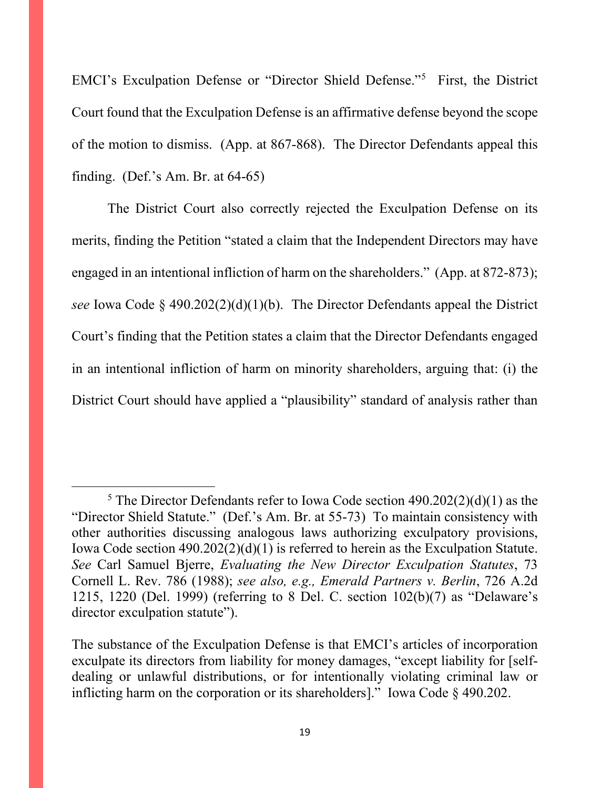EMCI's Exculpation Defense or "Director Shield Defense."[5](#page-18-0) First, the District Court found that the Exculpation Defense is an affirmative defense beyond the scope of the motion to dismiss. (App. at 867-868). The Director Defendants appeal this finding. (Def.'s Am. Br. at 64-65)

The District Court also correctly rejected the Exculpation Defense on its merits, finding the Petition "stated a claim that the Independent Directors may have engaged in an intentional infliction of harm on the shareholders." (App. at 872-873); *see* Iowa Code § 490.202(2)(d)(1)(b). The Director Defendants appeal the District Court's finding that the Petition states a claim that the Director Defendants engaged in an intentional infliction of harm on minority shareholders, arguing that: (i) the District Court should have applied a "plausibility" standard of analysis rather than

<span id="page-18-0"></span><sup>&</sup>lt;sup>5</sup> The Director Defendants refer to Iowa Code section  $490.202(2)(d)(1)$  as the "Director Shield Statute." (Def.'s Am. Br. at 55-73) To maintain consistency with other authorities discussing analogous laws authorizing exculpatory provisions, Iowa Code section 490.202(2)(d)(1) is referred to herein as the Exculpation Statute. *See* Carl Samuel Bjerre, *Evaluating the New Director Exculpation Statutes*, 73 Cornell L. Rev. 786 (1988); *see also, e.g., Emerald Partners v. Berlin*, 726 A.2d 1215, 1220 (Del. 1999) (referring to 8 Del. C. section 102(b)(7) as "Delaware's director exculpation statute").

The substance of the Exculpation Defense is that EMCI's articles of incorporation exculpate its directors from liability for money damages, "except liability for [selfdealing or unlawful distributions, or for intentionally violating criminal law or inflicting harm on the corporation or its shareholders]." Iowa Code § 490.202.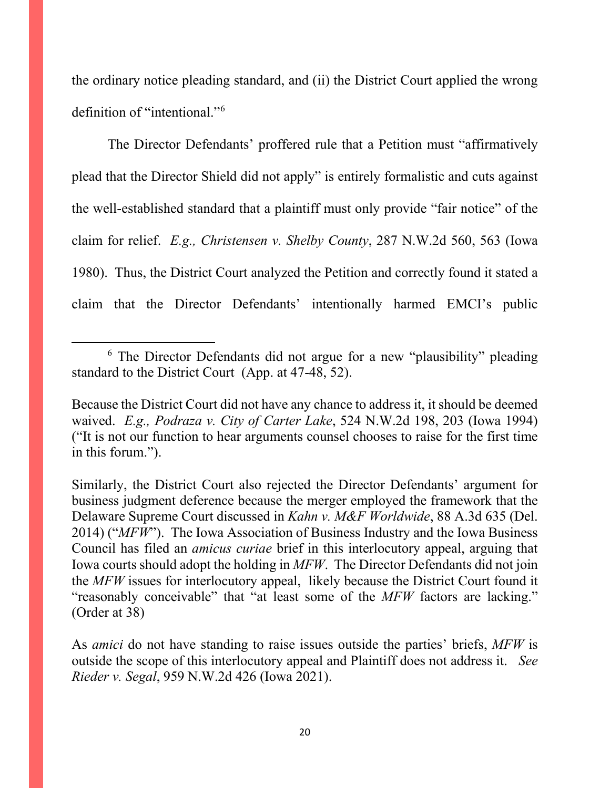the ordinary notice pleading standard, and (ii) the District Court applied the wrong definition of "intentional."[6](#page-19-0)

The Director Defendants' proffered rule that a Petition must "affirmatively plead that the Director Shield did not apply" is entirely formalistic and cuts against the well-established standard that a plaintiff must only provide "fair notice" of the claim for relief. *E.g., Christensen v. Shelby County*, 287 N.W.2d 560, 563 (Iowa 1980). Thus, the District Court analyzed the Petition and correctly found it stated a claim that the Director Defendants' intentionally harmed EMCI's public

<span id="page-19-0"></span><sup>&</sup>lt;sup>6</sup> The Director Defendants did not argue for a new "plausibility" pleading standard to the District Court (App. at 47-48, 52).

Because the District Court did not have any chance to address it, it should be deemed waived. *E.g., Podraza v. City of Carter Lake*, 524 N.W.2d 198, 203 (Iowa 1994) ("It is not our function to hear arguments counsel chooses to raise for the first time in this forum.").

Similarly, the District Court also rejected the Director Defendants' argument for business judgment deference because the merger employed the framework that the Delaware Supreme Court discussed in *Kahn v. M&F Worldwide*, 88 A.3d 635 (Del. 2014) ("*MFW*"). The Iowa Association of Business Industry and the Iowa Business Council has filed an *amicus curiae* brief in this interlocutory appeal, arguing that Iowa courts should adopt the holding in *MFW*. The Director Defendants did not join the *MFW* issues for interlocutory appeal, likely because the District Court found it "reasonably conceivable" that "at least some of the *MFW* factors are lacking." (Order at 38)

As *amici* do not have standing to raise issues outside the parties' briefs, *MFW* is outside the scope of this interlocutory appeal and Plaintiff does not address it. *See Rieder v. Segal*, 959 N.W.2d 426 (Iowa 2021).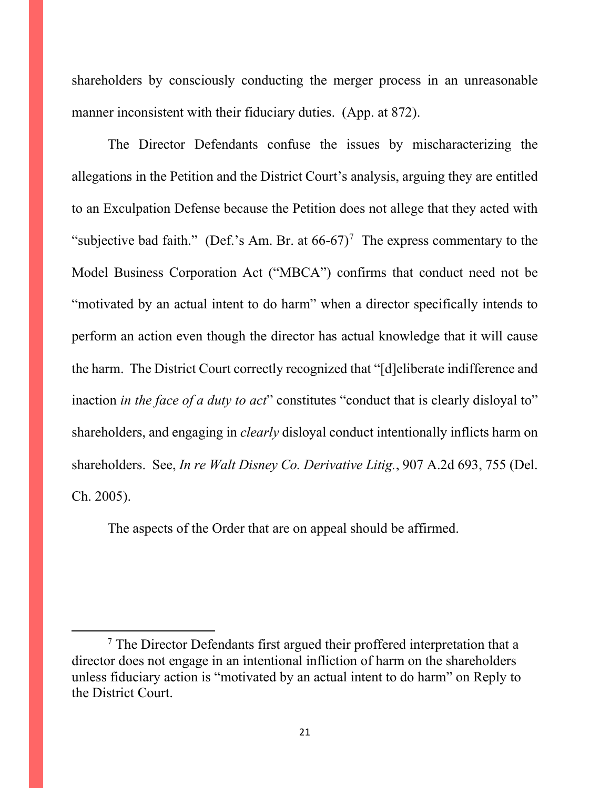shareholders by consciously conducting the merger process in an unreasonable manner inconsistent with their fiduciary duties. (App. at 872).

The Director Defendants confuse the issues by mischaracterizing the allegations in the Petition and the District Court's analysis, arguing they are entitled to an Exculpation Defense because the Petition does not allege that they acted with "subjective bad faith." (Def.'s Am. Br. at  $66-67$  $66-67$ )<sup>7</sup> The express commentary to the Model Business Corporation Act ("MBCA") confirms that conduct need not be "motivated by an actual intent to do harm" when a director specifically intends to perform an action even though the director has actual knowledge that it will cause the harm. The District Court correctly recognized that "[d]eliberate indifference and inaction *in the face of a duty to act*" constitutes "conduct that is clearly disloyal to" shareholders, and engaging in *clearly* disloyal conduct intentionally inflicts harm on shareholders. See, *In re Walt Disney Co. Derivative Litig.*, 907 A.2d 693, 755 (Del. Ch. 2005).

The aspects of the Order that are on appeal should be affirmed.

<span id="page-20-0"></span> $<sup>7</sup>$  The Director Defendants first argued their proffered interpretation that a</sup> director does not engage in an intentional infliction of harm on the shareholders unless fiduciary action is "motivated by an actual intent to do harm" on Reply to the District Court.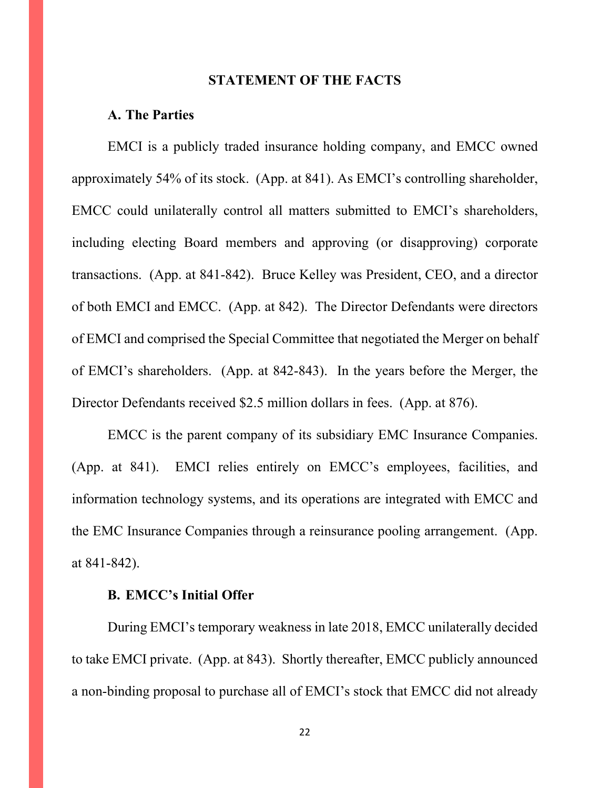#### **STATEMENT OF THE FACTS**

#### **A. The Parties**

EMCI is a publicly traded insurance holding company, and EMCC owned approximately 54% of its stock. (App. at 841). As EMCI's controlling shareholder, EMCC could unilaterally control all matters submitted to EMCI's shareholders, including electing Board members and approving (or disapproving) corporate transactions. (App. at 841-842). Bruce Kelley was President, CEO, and a director of both EMCI and EMCC. (App. at 842). The Director Defendants were directors of EMCI and comprised the Special Committee that negotiated the Merger on behalf of EMCI's shareholders. (App. at 842-843). In the years before the Merger, the Director Defendants received \$2.5 million dollars in fees. (App. at 876).

EMCC is the parent company of its subsidiary EMC Insurance Companies. (App. at 841). EMCI relies entirely on EMCC's employees, facilities, and information technology systems, and its operations are integrated with EMCC and the EMC Insurance Companies through a reinsurance pooling arrangement. (App. at 841-842).

# **B. EMCC's Initial Offer**

During EMCI's temporary weakness in late 2018, EMCC unilaterally decided to take EMCI private. (App. at 843). Shortly thereafter, EMCC publicly announced a non-binding proposal to purchase all of EMCI's stock that EMCC did not already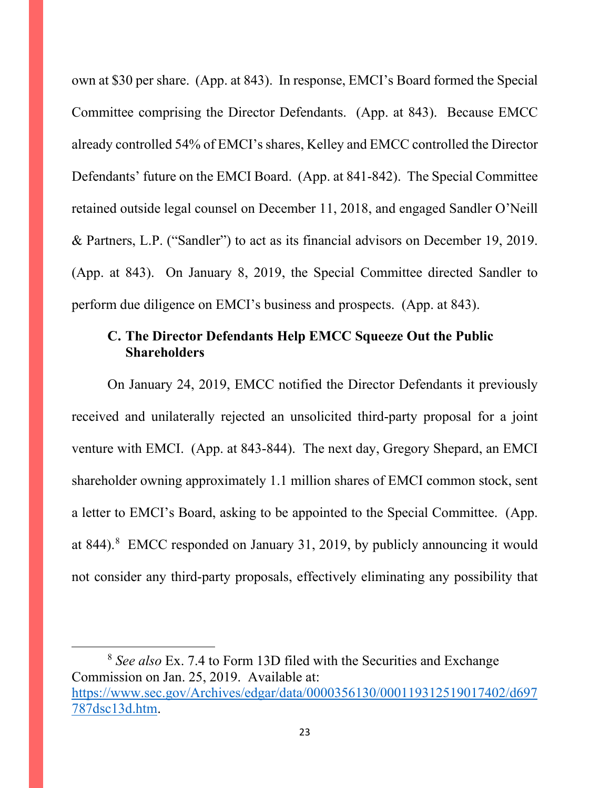own at \$30 per share. (App. at 843). In response, EMCI's Board formed the Special Committee comprising the Director Defendants. (App. at 843). Because EMCC already controlled 54% of EMCI's shares, Kelley and EMCC controlled the Director Defendants' future on the EMCI Board. (App. at 841-842). The Special Committee retained outside legal counsel on December 11, 2018, and engaged Sandler O'Neill & Partners, L.P. ("Sandler") to act as its financial advisors on December 19, 2019. (App. at 843). On January 8, 2019, the Special Committee directed Sandler to perform due diligence on EMCI's business and prospects. (App. at 843).

# **C. The Director Defendants Help EMCC Squeeze Out the Public Shareholders**

On January 24, 2019, EMCC notified the Director Defendants it previously received and unilaterally rejected an unsolicited third-party proposal for a joint venture with EMCI. (App. at 843-844). The next day, Gregory Shepard, an EMCI shareholder owning approximately 1.1 million shares of EMCI common stock, sent a letter to EMCI's Board, asking to be appointed to the Special Committee. (App. at [8](#page-22-0)44).<sup>8</sup> EMCC responded on January 31, 2019, by publicly announcing it would not consider any third-party proposals, effectively eliminating any possibility that

<span id="page-22-0"></span><sup>8</sup> *See also* Ex. 7.4 to Form 13D filed with the Securities and Exchange Commission on Jan. 25, 2019. Available at: [https://www.sec.gov/Archives/edgar/data/0000356130/000119312519017402/d697](https://www.sec.gov/Archives/edgar/data/0000356130/000119312519017402/d697787dsc13d.htm) [787dsc13d.htm.](https://www.sec.gov/Archives/edgar/data/0000356130/000119312519017402/d697787dsc13d.htm)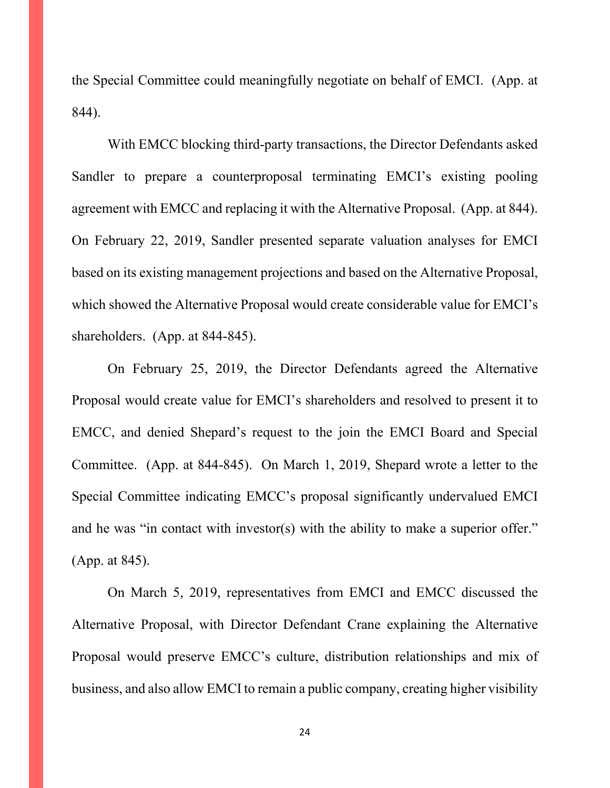the Special Committee could meaningfully negotiate on behalf of EMCI. (App. at 844).

With EMCC blocking third-party transactions, the Director Defendants asked Sandler to prepare a counterproposal terminating EMCI's existing pooling agreement with EMCC and replacing it with the Alternative Proposal. (App. at 844). On February 22, 2019, Sandler presented separate valuation analyses for EMCI based on its existing management projections and based on the Alternative Proposal, which showed the Alternative Proposal would create considerable value for EMCI's shareholders. (App. at 844-845).

On February 25, 2019, the Director Defendants agreed the Alternative Proposal would create value for EMCI's shareholders and resolved to present it to EMCC, and denied Shepard's request to the join the EMCI Board and Special Committee. (App. at 844-845). On March 1, 2019, Shepard wrote a letter to the Special Committee indicating EMCC's proposal significantly undervalued EMCI and he was "in contact with investor(s) with the ability to make a superior offer." (App. at 845).

On March 5, 2019, representatives from EMCI and EMCC discussed the Alternative Proposal, with Director Defendant Crane explaining the Alternative Proposal would preserve EMCC's culture, distribution relationships and mix of business, and also allow EMCI to remain a public company, creating higher visibility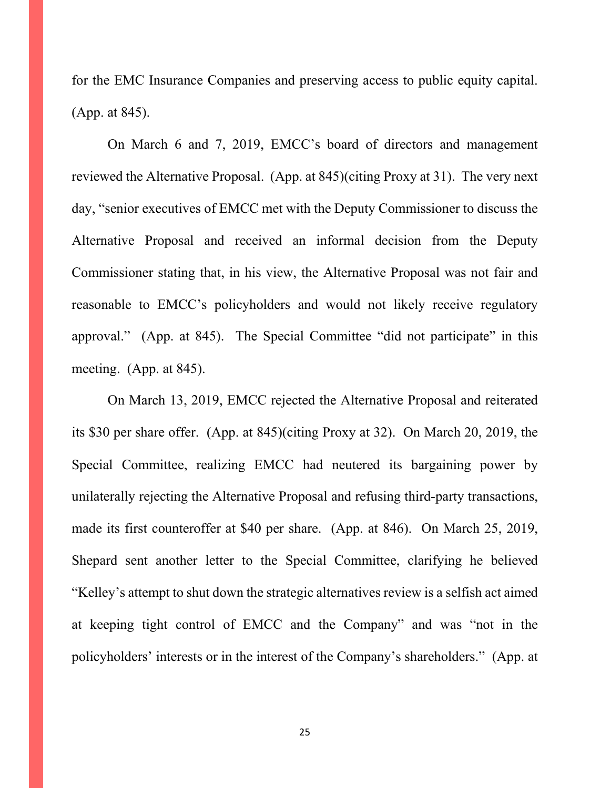for the EMC Insurance Companies and preserving access to public equity capital. (App. at 845).

On March 6 and 7, 2019, EMCC's board of directors and management reviewed the Alternative Proposal. (App. at 845)(citing Proxy at 31). The very next day, "senior executives of EMCC met with the Deputy Commissioner to discuss the Alternative Proposal and received an informal decision from the Deputy Commissioner stating that, in his view, the Alternative Proposal was not fair and reasonable to EMCC's policyholders and would not likely receive regulatory approval." (App. at 845). The Special Committee "did not participate" in this meeting. (App. at 845).

On March 13, 2019, EMCC rejected the Alternative Proposal and reiterated its \$30 per share offer. (App. at 845)(citing Proxy at 32). On March 20, 2019, the Special Committee, realizing EMCC had neutered its bargaining power by unilaterally rejecting the Alternative Proposal and refusing third-party transactions, made its first counteroffer at \$40 per share. (App. at 846). On March 25, 2019, Shepard sent another letter to the Special Committee, clarifying he believed "Kelley's attempt to shut down the strategic alternatives review is a selfish act aimed at keeping tight control of EMCC and the Company" and was "not in the policyholders' interests or in the interest of the Company's shareholders." (App. at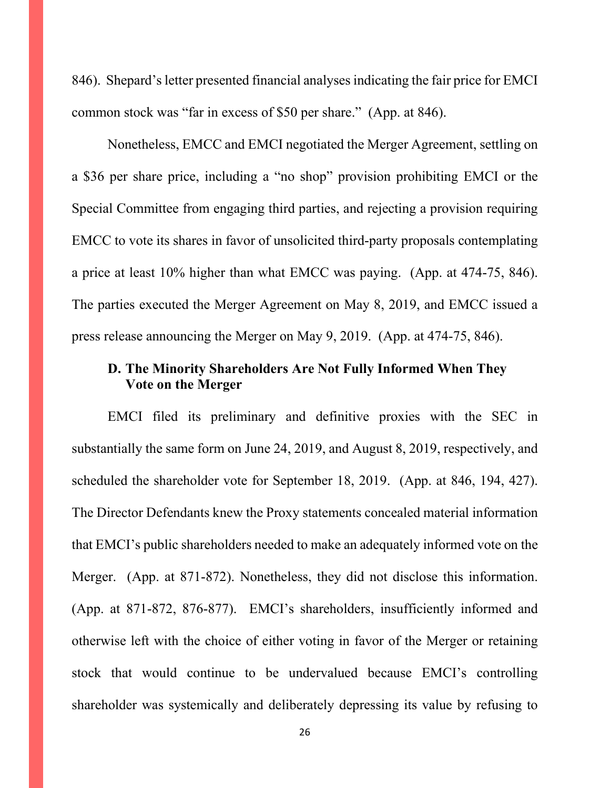846). Shepard's letter presented financial analyses indicating the fair price for EMCI common stock was "far in excess of \$50 per share." (App. at 846).

Nonetheless, EMCC and EMCI negotiated the Merger Agreement, settling on a \$36 per share price, including a "no shop" provision prohibiting EMCI or the Special Committee from engaging third parties, and rejecting a provision requiring EMCC to vote its shares in favor of unsolicited third-party proposals contemplating a price at least 10% higher than what EMCC was paying. (App. at 474-75, 846). The parties executed the Merger Agreement on May 8, 2019, and EMCC issued a press release announcing the Merger on May 9, 2019. (App. at 474-75, 846).

# **D. The Minority Shareholders Are Not Fully Informed When They Vote on the Merger**

EMCI filed its preliminary and definitive proxies with the SEC in substantially the same form on June 24, 2019, and August 8, 2019, respectively, and scheduled the shareholder vote for September 18, 2019. (App. at 846, 194, 427). The Director Defendants knew the Proxy statements concealed material information that EMCI's public shareholders needed to make an adequately informed vote on the Merger. (App. at 871-872). Nonetheless, they did not disclose this information. (App. at 871-872, 876-877). EMCI's shareholders, insufficiently informed and otherwise left with the choice of either voting in favor of the Merger or retaining stock that would continue to be undervalued because EMCI's controlling shareholder was systemically and deliberately depressing its value by refusing to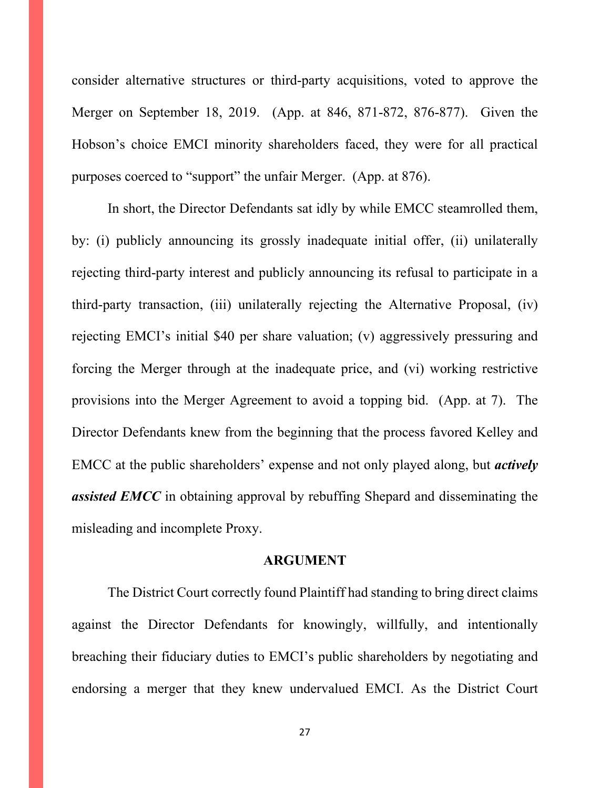consider alternative structures or third-party acquisitions, voted to approve the Merger on September 18, 2019. (App. at 846, 871-872, 876-877). Given the Hobson's choice EMCI minority shareholders faced, they were for all practical purposes coerced to "support" the unfair Merger. (App. at 876).

In short, the Director Defendants sat idly by while EMCC steamrolled them, by: (i) publicly announcing its grossly inadequate initial offer, (ii) unilaterally rejecting third-party interest and publicly announcing its refusal to participate in a third-party transaction, (iii) unilaterally rejecting the Alternative Proposal, (iv) rejecting EMCI's initial \$40 per share valuation; (v) aggressively pressuring and forcing the Merger through at the inadequate price, and (vi) working restrictive provisions into the Merger Agreement to avoid a topping bid. (App. at 7). The Director Defendants knew from the beginning that the process favored Kelley and EMCC at the public shareholders' expense and not only played along, but *actively*  **assisted EMCC** in obtaining approval by rebuffing Shepard and disseminating the misleading and incomplete Proxy.

#### **ARGUMENT**

The District Court correctly found Plaintiff had standing to bring direct claims against the Director Defendants for knowingly, willfully, and intentionally breaching their fiduciary duties to EMCI's public shareholders by negotiating and endorsing a merger that they knew undervalued EMCI. As the District Court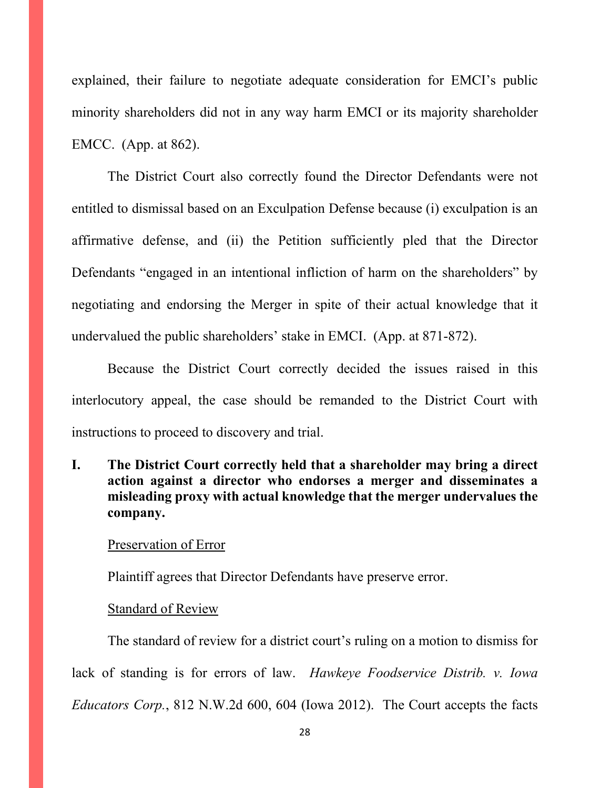explained, their failure to negotiate adequate consideration for EMCI's public minority shareholders did not in any way harm EMCI or its majority shareholder EMCC. (App. at 862).

The District Court also correctly found the Director Defendants were not entitled to dismissal based on an Exculpation Defense because (i) exculpation is an affirmative defense, and (ii) the Petition sufficiently pled that the Director Defendants "engaged in an intentional infliction of harm on the shareholders" by negotiating and endorsing the Merger in spite of their actual knowledge that it undervalued the public shareholders' stake in EMCI. (App. at 871-872).

Because the District Court correctly decided the issues raised in this interlocutory appeal, the case should be remanded to the District Court with instructions to proceed to discovery and trial.

**I. The District Court correctly held that a shareholder may bring a direct action against a director who endorses a merger and disseminates a misleading proxy with actual knowledge that the merger undervalues the company.**

#### Preservation of Error

Plaintiff agrees that Director Defendants have preserve error.

### Standard of Review

The standard of review for a district court's ruling on a motion to dismiss for lack of standing is for errors of law. *Hawkeye Foodservice Distrib. v. Iowa Educators Corp.*, 812 N.W.2d 600, 604 (Iowa 2012). The Court accepts the facts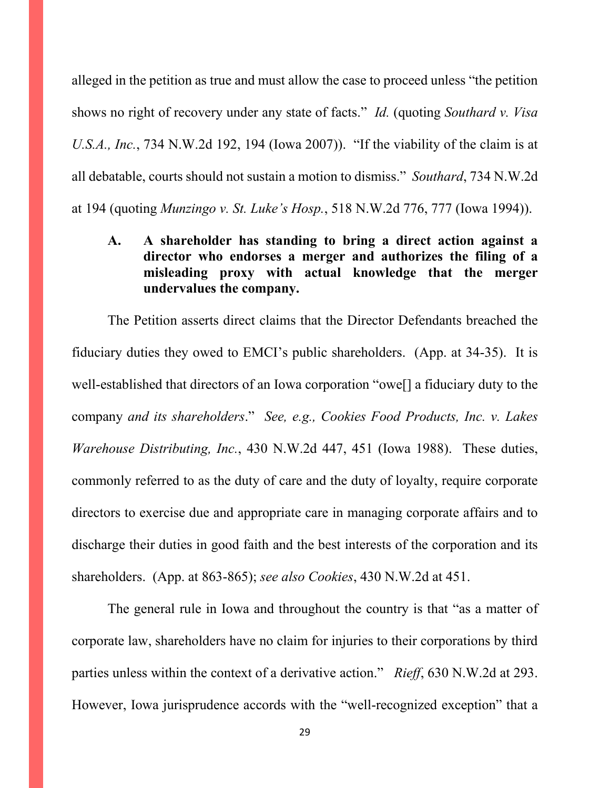alleged in the petition as true and must allow the case to proceed unless "the petition shows no right of recovery under any state of facts." *Id.* (quoting *Southard v. Visa U.S.A., Inc.*, 734 N.W.2d 192, 194 (Iowa 2007)). "If the viability of the claim is at all debatable, courts should not sustain a motion to dismiss." *Southard*, 734 N.W.2d at 194 (quoting *Munzingo v. St. Luke's Hosp.*, 518 N.W.2d 776, 777 (Iowa 1994)).

# **A. A shareholder has standing to bring a direct action against a director who endorses a merger and authorizes the filing of a misleading proxy with actual knowledge that the merger undervalues the company.**

The Petition asserts direct claims that the Director Defendants breached the fiduciary duties they owed to EMCI's public shareholders. (App. at 34-35). It is well-established that directors of an Iowa corporation "owe[] a fiduciary duty to the company *and its shareholders*." *See, e.g., Cookies Food Products, Inc. v. Lakes Warehouse Distributing, Inc.*, 430 N.W.2d 447, 451 (Iowa 1988). These duties, commonly referred to as the duty of care and the duty of loyalty, require corporate directors to exercise due and appropriate care in managing corporate affairs and to discharge their duties in good faith and the best interests of the corporation and its shareholders. (App. at 863-865); *see also Cookies*, 430 N.W.2d at 451.

The general rule in Iowa and throughout the country is that "as a matter of corporate law, shareholders have no claim for injuries to their corporations by third parties unless within the context of a derivative action." *Rieff*, 630 N.W.2d at 293. However, Iowa jurisprudence accords with the "well-recognized exception" that a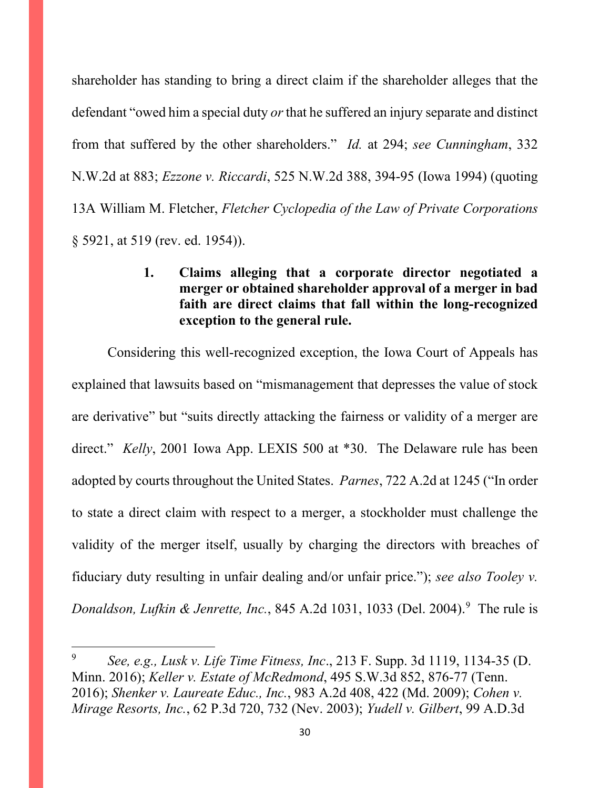shareholder has standing to bring a direct claim if the shareholder alleges that the defendant "owed him a special duty *or* that he suffered an injury separate and distinct from that suffered by the other shareholders." *Id.* at 294; *see Cunningham*, 332 N.W.2d at 883; *Ezzone v. Riccardi*, 525 N.W.2d 388, 394-95 (Iowa 1994) (quoting 13A William M. Fletcher, *Fletcher Cyclopedia of the Law of Private Corporations* § 5921, at 519 (rev. ed. 1954)).

# **1. Claims alleging that a corporate director negotiated a merger or obtained shareholder approval of a merger in bad faith are direct claims that fall within the long-recognized exception to the general rule.**

Considering this well-recognized exception, the Iowa Court of Appeals has explained that lawsuits based on "mismanagement that depresses the value of stock are derivative" but "suits directly attacking the fairness or validity of a merger are direct." *Kelly*, 2001 Iowa App. LEXIS 500 at \*30. The Delaware rule has been adopted by courts throughout the United States. *Parnes*, 722 A.2d at 1245 ("In order to state a direct claim with respect to a merger, a stockholder must challenge the validity of the merger itself, usually by charging the directors with breaches of fiduciary duty resulting in unfair dealing and/or unfair price."); *see also Tooley v. Donaldson, Lufkin & Jenrette, Inc.*, 845 A.2d 1031, 1033 (Del. 2004). [9](#page-29-0) The rule is

<span id="page-29-0"></span><sup>9</sup> *See, e.g., Lusk v. Life Time Fitness, Inc*., 213 F. Supp. 3d 1119, 1134-35 (D. Minn. 2016); *Keller v. Estate of McRedmond*, 495 S.W.3d 852, 876-77 (Tenn. 2016); *Shenker v. Laureate Educ., Inc.*, 983 A.2d 408, 422 (Md. 2009); *Cohen v. Mirage Resorts, Inc.*, 62 P.3d 720, 732 (Nev. 2003); *Yudell v. Gilbert*, 99 A.D.3d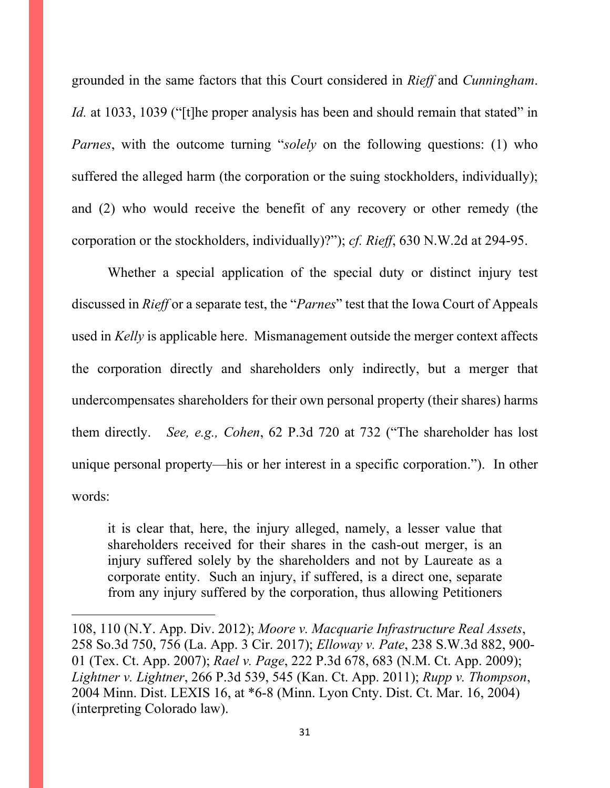grounded in the same factors that this Court considered in *Rieff* and *Cunningham*. *Id.* at 1033, 1039 ("[t]he proper analysis has been and should remain that stated" in *Parnes*, with the outcome turning "*solely* on the following questions: (1) who suffered the alleged harm (the corporation or the suing stockholders, individually); and (2) who would receive the benefit of any recovery or other remedy (the corporation or the stockholders, individually)?"); *cf. Rieff*, 630 N.W.2d at 294-95.

Whether a special application of the special duty or distinct injury test discussed in *Rieff* or a separate test, the "*Parnes*" test that the Iowa Court of Appeals used in *Kelly* is applicable here. Mismanagement outside the merger context affects the corporation directly and shareholders only indirectly, but a merger that undercompensates shareholders for their own personal property (their shares) harms them directly. *See, e.g., Cohen*, 62 P.3d 720 at 732 ("The shareholder has lost unique personal property—his or her interest in a specific corporation."). In other words:

it is clear that, here, the injury alleged, namely, a lesser value that shareholders received for their shares in the cash-out merger, is an injury suffered solely by the shareholders and not by Laureate as a corporate entity. Such an injury, if suffered, is a direct one, separate from any injury suffered by the corporation, thus allowing Petitioners

<sup>108, 110 (</sup>N.Y. App. Div. 2012); *Moore v. Macquarie Infrastructure Real Assets*, 258 So.3d 750, 756 (La. App. 3 Cir. 2017); *Elloway v. Pate*, 238 S.W.3d 882, 900- 01 (Tex. Ct. App. 2007); *Rael v. Page*, 222 P.3d 678, 683 (N.M. Ct. App. 2009); *Lightner v. Lightner*, 266 P.3d 539, 545 (Kan. Ct. App. 2011); *Rupp v. Thompson*, 2004 Minn. Dist. LEXIS 16, at \*6-8 (Minn. Lyon Cnty. Dist. Ct. Mar. 16, 2004) (interpreting Colorado law).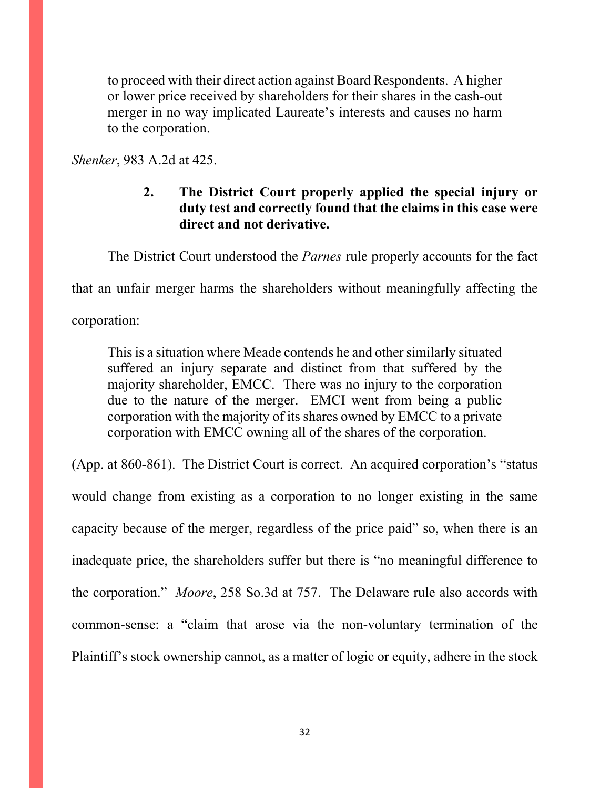to proceed with their direct action against Board Respondents. A higher or lower price received by shareholders for their shares in the cash-out merger in no way implicated Laureate's interests and causes no harm to the corporation.

*Shenker*, 983 A.2d at 425.

# **2. The District Court properly applied the special injury or duty test and correctly found that the claims in this case were direct and not derivative.**

The District Court understood the *Parnes* rule properly accounts for the fact

that an unfair merger harms the shareholders without meaningfully affecting the

corporation:

This is a situation where Meade contends he and other similarly situated suffered an injury separate and distinct from that suffered by the majority shareholder, EMCC. There was no injury to the corporation due to the nature of the merger. EMCI went from being a public corporation with the majority of its shares owned by EMCC to a private corporation with EMCC owning all of the shares of the corporation.

(App. at 860-861). The District Court is correct. An acquired corporation's "status would change from existing as a corporation to no longer existing in the same capacity because of the merger, regardless of the price paid" so, when there is an inadequate price, the shareholders suffer but there is "no meaningful difference to the corporation." *Moore*, 258 So.3d at 757. The Delaware rule also accords with common-sense: a "claim that arose via the non-voluntary termination of the Plaintiff's stock ownership cannot, as a matter of logic or equity, adhere in the stock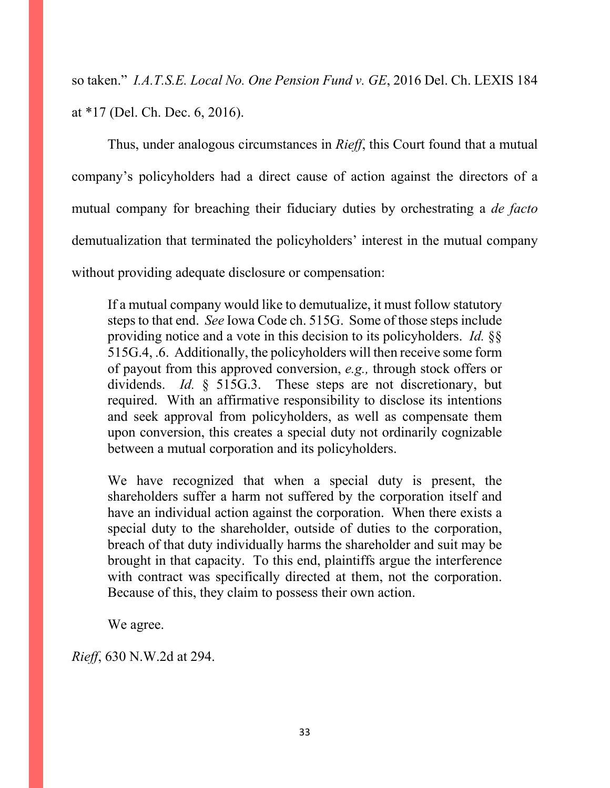so taken." *I.A.T.S.E. Local No. One Pension Fund v. GE*, 2016 Del. Ch. LEXIS 184 at \*17 (Del. Ch. Dec. 6, 2016).

Thus, under analogous circumstances in *Rieff*, this Court found that a mutual company's policyholders had a direct cause of action against the directors of a mutual company for breaching their fiduciary duties by orchestrating a *de facto* demutualization that terminated the policyholders' interest in the mutual company without providing adequate disclosure or compensation:

If a mutual company would like to demutualize, it must follow statutory steps to that end. *See* Iowa Code ch. 515G. Some of those steps include providing notice and a vote in this decision to its policyholders. *Id.* §§ 515G.4, .6. Additionally, the policyholders will then receive some form of payout from this approved conversion, *e.g.,* through stock offers or dividends. *Id.* § 515G.3. These steps are not discretionary, but required. With an affirmative responsibility to disclose its intentions and seek approval from policyholders, as well as compensate them upon conversion, this creates a special duty not ordinarily cognizable between a mutual corporation and its policyholders.

We have recognized that when a special duty is present, the shareholders suffer a harm not suffered by the corporation itself and have an individual action against the corporation. When there exists a special duty to the shareholder, outside of duties to the corporation, breach of that duty individually harms the shareholder and suit may be brought in that capacity. To this end, plaintiffs argue the interference with contract was specifically directed at them, not the corporation. Because of this, they claim to possess their own action.

We agree.

*Rieff*, 630 N.W.2d at 294.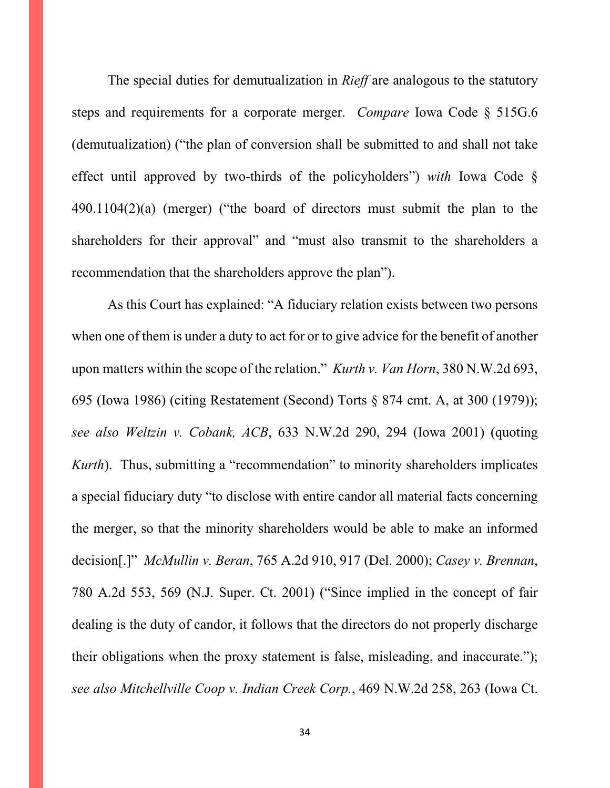The special duties for demutualization in *Rieff* are analogous to the statutory steps and requirements for a corporate merger. *Compare* Iowa Code § 515G.6 (demutualization) ("the plan of conversion shall be submitted to and shall not take effect until approved by two-thirds of the policyholders") *with* Iowa Code § 490.1104(2)(a) (merger) ("the board of directors must submit the plan to the shareholders for their approval" and "must also transmit to the shareholders a recommendation that the shareholders approve the plan").

As this Court has explained: "A fiduciary relation exists between two persons when one of them is under a duty to act for or to give advice for the benefit of another upon matters within the scope of the relation." *Kurth v. Van Horn*, 380 N.W.2d 693, 695 (Iowa 1986) (citing Restatement (Second) Torts § 874 cmt. A, at 300 (1979)); *see also Weltzin v. Cobank, ACB*, 633 N.W.2d 290, 294 (Iowa 2001) (quoting *Kurth*). Thus, submitting a "recommendation" to minority shareholders implicates a special fiduciary duty "to disclose with entire candor all material facts concerning the merger, so that the minority shareholders would be able to make an informed decision[.]" *McMullin v. Beran*, 765 A.2d 910, 917 (Del. 2000); *Casey v. Brennan*, 780 A.2d 553, 569 (N.J. Super. Ct. 2001) ("Since implied in the concept of fair dealing is the duty of candor, it follows that the directors do not properly discharge their obligations when the proxy statement is false, misleading, and inaccurate."); *see also Mitchellville Coop v. Indian Creek Corp.*, 469 N.W.2d 258, 263 (Iowa Ct.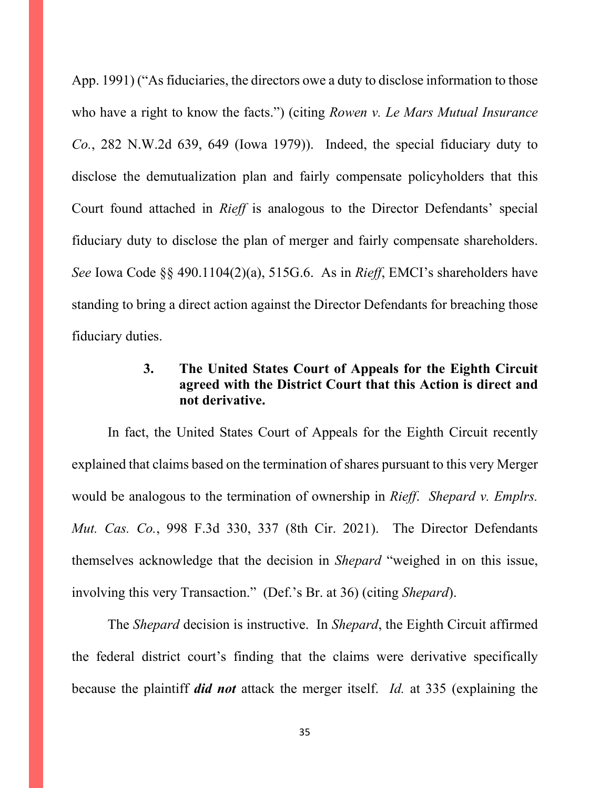App. 1991) ("As fiduciaries, the directors owe a duty to disclose information to those who have a right to know the facts.") (citing *Rowen v. Le Mars Mutual Insurance Co.*, 282 N.W.2d 639, 649 (Iowa 1979)). Indeed, the special fiduciary duty to disclose the demutualization plan and fairly compensate policyholders that this Court found attached in *Rieff* is analogous to the Director Defendants' special fiduciary duty to disclose the plan of merger and fairly compensate shareholders. *See* Iowa Code §§ 490.1104(2)(a), 515G.6. As in *Rieff*, EMCI's shareholders have standing to bring a direct action against the Director Defendants for breaching those fiduciary duties.

# **3. The United States Court of Appeals for the Eighth Circuit agreed with the District Court that this Action is direct and not derivative.**

In fact, the United States Court of Appeals for the Eighth Circuit recently explained that claims based on the termination of shares pursuant to this very Merger would be analogous to the termination of ownership in *Rieff*. *Shepard v. Emplrs. Mut. Cas. Co.*, 998 F.3d 330, 337 (8th Cir. 2021). The Director Defendants themselves acknowledge that the decision in *Shepard* "weighed in on this issue, involving this very Transaction." (Def.'s Br. at 36) (citing *Shepard*).

The *Shepard* decision is instructive. In *Shepard*, the Eighth Circuit affirmed the federal district court's finding that the claims were derivative specifically because the plaintiff *did not* attack the merger itself. *Id.* at 335 (explaining the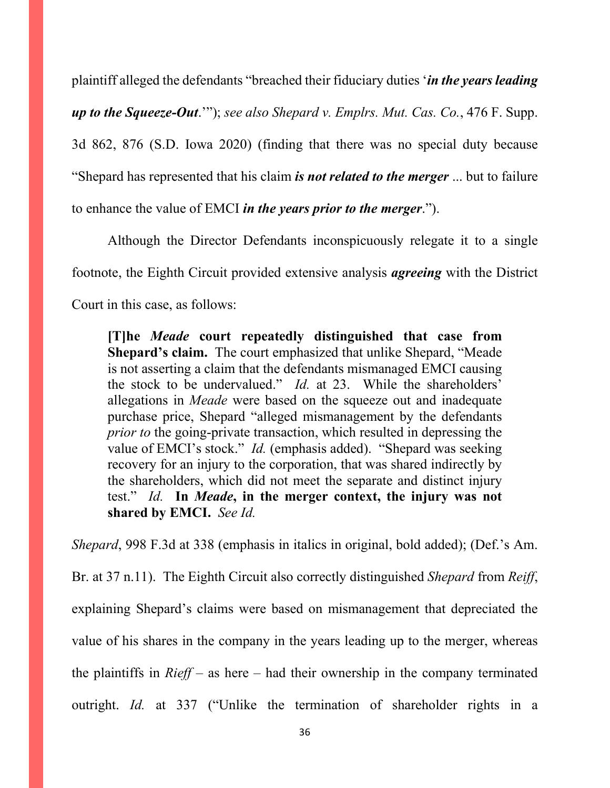plaintiff alleged the defendants "breached their fiduciary duties '*in the years leading up to the Squeeze-Out*.'"); *see also Shepard v. Emplrs. Mut. Cas. Co.*, 476 F. Supp. 3d 862, 876 (S.D. Iowa 2020) (finding that there was no special duty because "Shepard has represented that his claim *is not related to the merger* ... but to failure to enhance the value of EMCI *in the years prior to the merger*.").

Although the Director Defendants inconspicuously relegate it to a single footnote, the Eighth Circuit provided extensive analysis *agreeing* with the District Court in this case, as follows:

**[T]he** *Meade* **court repeatedly distinguished that case from Shepard's claim.** The court emphasized that unlike Shepard, "Meade is not asserting a claim that the defendants mismanaged EMCI causing the stock to be undervalued." *Id.* at 23. While the shareholders' allegations in *Meade* were based on the squeeze out and inadequate purchase price, Shepard "alleged mismanagement by the defendants *prior to* the going-private transaction, which resulted in depressing the value of EMCI's stock." *Id.* (emphasis added). "Shepard was seeking recovery for an injury to the corporation, that was shared indirectly by the shareholders, which did not meet the separate and distinct injury test." *Id.* **In** *Meade***, in the merger context, the injury was not shared by EMCI.** *See Id.*

*Shepard*, 998 F.3d at 338 (emphasis in italics in original, bold added); (Def.'s Am.

Br. at 37 n.11). The Eighth Circuit also correctly distinguished *Shepard* from *Reiff*, explaining Shepard's claims were based on mismanagement that depreciated the value of his shares in the company in the years leading up to the merger, whereas the plaintiffs in *Rieff* – as here – had their ownership in the company terminated outright. *Id.* at 337 ("Unlike the termination of shareholder rights in a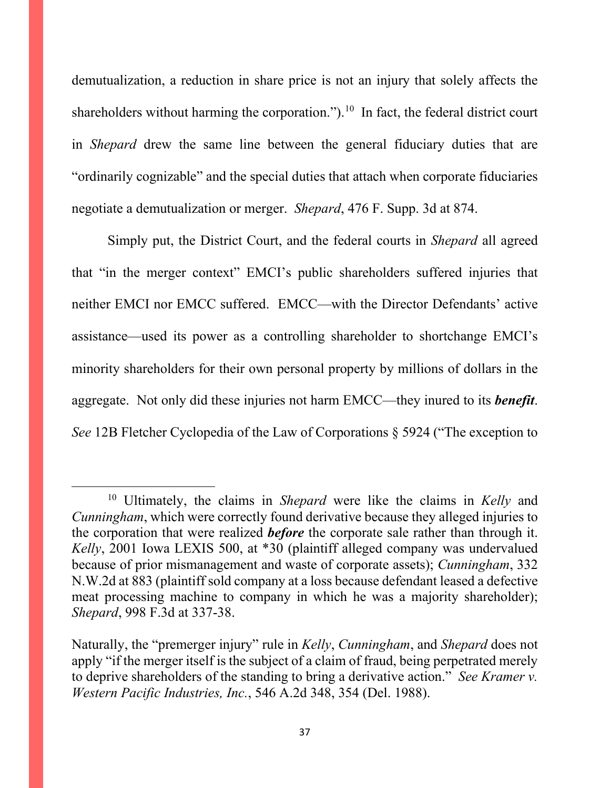demutualization, a reduction in share price is not an injury that solely affects the shareholders without harming the corporation.").<sup>10</sup> In fact, the federal district court in *Shepard* drew the same line between the general fiduciary duties that are "ordinarily cognizable" and the special duties that attach when corporate fiduciaries negotiate a demutualization or merger. *Shepard*, 476 F. Supp. 3d at 874.

Simply put, the District Court, and the federal courts in *Shepard* all agreed that "in the merger context" EMCI's public shareholders suffered injuries that neither EMCI nor EMCC suffered. EMCC—with the Director Defendants' active assistance—used its power as a controlling shareholder to shortchange EMCI's minority shareholders for their own personal property by millions of dollars in the aggregate. Not only did these injuries not harm EMCC—they inured to its *benefit*. *See* 12B Fletcher Cyclopedia of the Law of Corporations § 5924 ("The exception to

<span id="page-36-0"></span><sup>10</sup> Ultimately, the claims in *Shepard* were like the claims in *Kelly* and *Cunningham*, which were correctly found derivative because they alleged injuries to the corporation that were realized *before* the corporate sale rather than through it. *Kelly*, 2001 Iowa LEXIS 500, at \*30 (plaintiff alleged company was undervalued because of prior mismanagement and waste of corporate assets); *Cunningham*, 332 N.W.2d at 883 (plaintiff sold company at a loss because defendant leased a defective meat processing machine to company in which he was a majority shareholder); *Shepard*, 998 F.3d at 337-38.

Naturally, the "premerger injury" rule in *Kelly*, *Cunningham*, and *Shepard* does not apply "if the merger itself is the subject of a claim of fraud, being perpetrated merely to deprive shareholders of the standing to bring a derivative action." *See Kramer v. Western Pacific Industries, Inc.*, 546 A.2d 348, 354 (Del. 1988).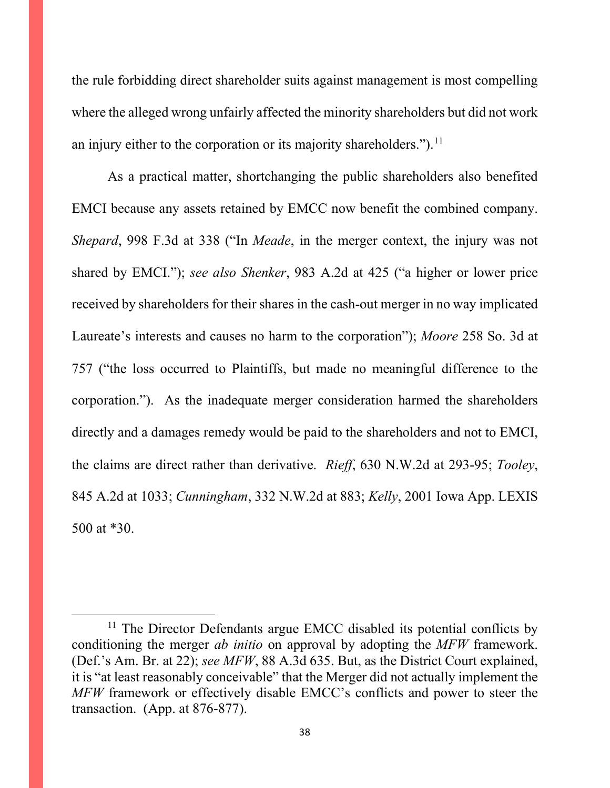the rule forbidding direct shareholder suits against management is most compelling where the alleged wrong unfairly affected the minority shareholders but did not work an injury either to the corporation or its majority shareholders.").<sup>[11](#page-37-0)</sup>

As a practical matter, shortchanging the public shareholders also benefited EMCI because any assets retained by EMCC now benefit the combined company. *Shepard*, 998 F.3d at 338 ("In *Meade*, in the merger context, the injury was not shared by EMCI."); *see also Shenker*, 983 A.2d at 425 ("a higher or lower price received by shareholders for their shares in the cash-out merger in no way implicated Laureate's interests and causes no harm to the corporation"); *Moore* 258 So. 3d at 757 ("the loss occurred to Plaintiffs, but made no meaningful difference to the corporation."). As the inadequate merger consideration harmed the shareholders directly and a damages remedy would be paid to the shareholders and not to EMCI, the claims are direct rather than derivative. *Rieff*, 630 N.W.2d at 293-95; *Tooley*, 845 A.2d at 1033; *Cunningham*, 332 N.W.2d at 883; *Kelly*, 2001 Iowa App. LEXIS 500 at \*30.

<span id="page-37-0"></span> $11$  The Director Defendants argue EMCC disabled its potential conflicts by conditioning the merger *ab initio* on approval by adopting the *MFW* framework. (Def.'s Am. Br. at 22); *see MFW*, 88 A.3d 635. But, as the District Court explained, it is "at least reasonably conceivable" that the Merger did not actually implement the *MFW* framework or effectively disable EMCC's conflicts and power to steer the transaction. (App. at 876-877).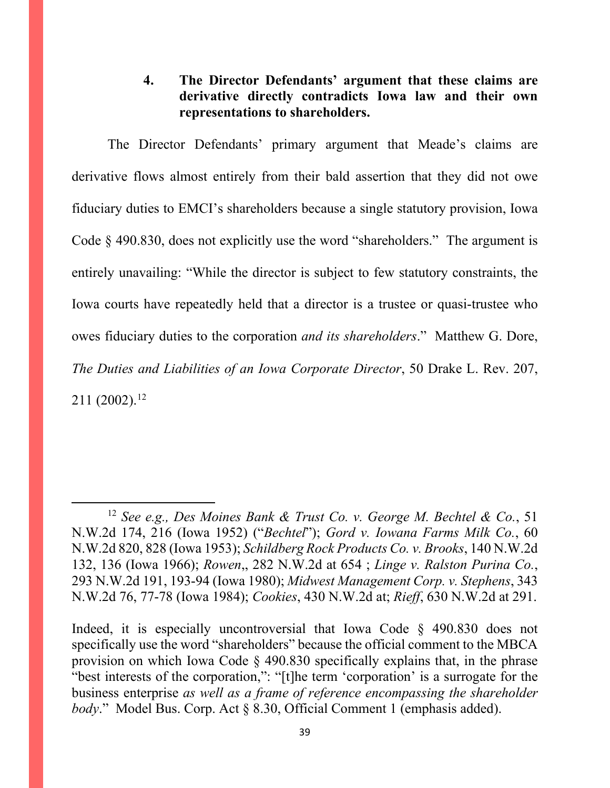# **4. The Director Defendants' argument that these claims are derivative directly contradicts Iowa law and their own representations to shareholders.**

The Director Defendants' primary argument that Meade's claims are derivative flows almost entirely from their bald assertion that they did not owe fiduciary duties to EMCI's shareholders because a single statutory provision, Iowa Code § 490.830, does not explicitly use the word "shareholders." The argument is entirely unavailing: "While the director is subject to few statutory constraints, the Iowa courts have repeatedly held that a director is a trustee or quasi-trustee who owes fiduciary duties to the corporation *and its shareholders*." Matthew G. Dore, *The Duties and Liabilities of an Iowa Corporate Director*, 50 Drake L. Rev. 207,  $211 (2002).$ <sup>[12](#page-38-0)</sup>

<span id="page-38-0"></span><sup>12</sup> *See e.g., Des Moines Bank & Trust Co. v. George M. Bechtel & Co.*, 51 N.W.2d 174, 216 (Iowa 1952) ("*Bechtel*"); *Gord v. Iowana Farms Milk Co.*, 60 N.W.2d 820, 828 (Iowa 1953); *Schildberg Rock Products Co. v. Brooks*, 140 N.W.2d 132, 136 (Iowa 1966); *Rowen*,, 282 N.W.2d at 654 ; *Linge v. Ralston Purina Co.*, 293 N.W.2d 191, 193-94 (Iowa 1980); *Midwest Management Corp. v. Stephens*, 343 N.W.2d 76, 77-78 (Iowa 1984); *Cookies*, 430 N.W.2d at; *Rieff*, 630 N.W.2d at 291.

Indeed, it is especially uncontroversial that Iowa Code § 490.830 does not specifically use the word "shareholders" because the official comment to the MBCA provision on which Iowa Code § 490.830 specifically explains that, in the phrase "best interests of the corporation,": "[t]he term 'corporation' is a surrogate for the business enterprise *as well as a frame of reference encompassing the shareholder body*." Model Bus. Corp. Act § 8.30, Official Comment 1 (emphasis added).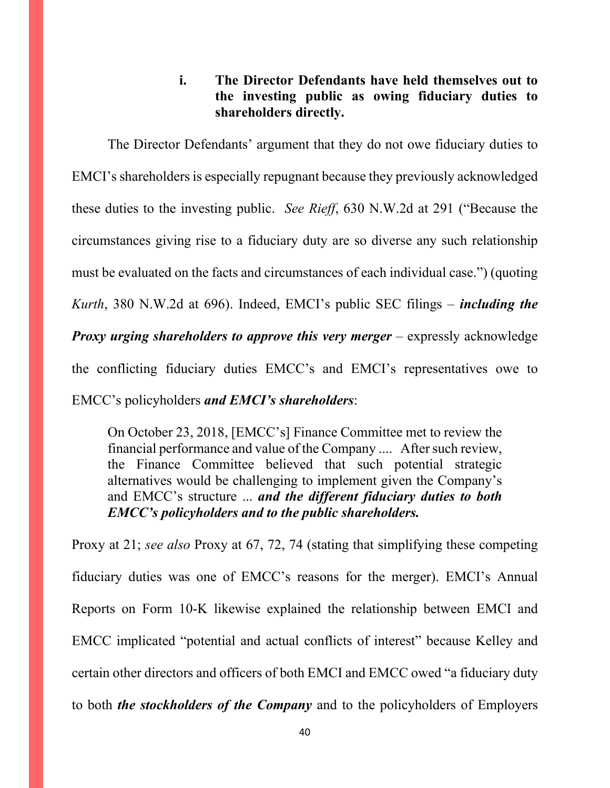# **i. The Director Defendants have held themselves out to the investing public as owing fiduciary duties to shareholders directly.**

The Director Defendants' argument that they do not owe fiduciary duties to EMCI's shareholders is especially repugnant because they previously acknowledged these duties to the investing public. *See Rieff*, 630 N.W.2d at 291 ("Because the circumstances giving rise to a fiduciary duty are so diverse any such relationship must be evaluated on the facts and circumstances of each individual case.") (quoting *Kurth*, 380 N.W.2d at 696). Indeed, EMCI's public SEC filings – *including the Proxy urging shareholders to approve this very merger* – expressly acknowledge the conflicting fiduciary duties EMCC's and EMCI's representatives owe to EMCC's policyholders *and EMCI's shareholders*:

On October 23, 2018, [EMCC's] Finance Committee met to review the financial performance and value of the Company .... After such review, the Finance Committee believed that such potential strategic alternatives would be challenging to implement given the Company's and EMCC's structure ... *and the different fiduciary duties to both EMCC's policyholders and to the public shareholders.*

Proxy at 21; *see also* Proxy at 67, 72, 74 (stating that simplifying these competing fiduciary duties was one of EMCC's reasons for the merger). EMCI's Annual Reports on Form 10-K likewise explained the relationship between EMCI and EMCC implicated "potential and actual conflicts of interest" because Kelley and certain other directors and officers of both EMCI and EMCC owed "a fiduciary duty to both *the stockholders of the Company* and to the policyholders of Employers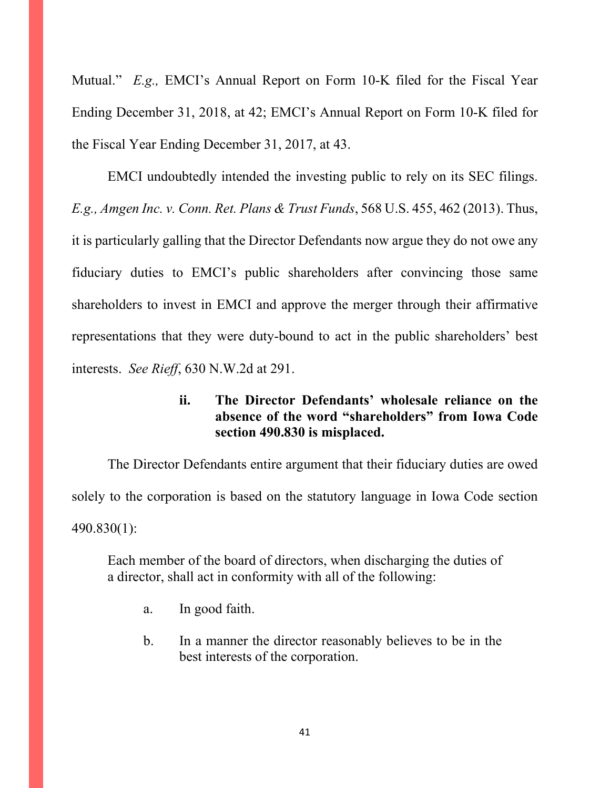Mutual." *E.g.,* EMCI's Annual Report on Form 10-K filed for the Fiscal Year Ending December 31, 2018, at 42; EMCI's Annual Report on Form 10-K filed for the Fiscal Year Ending December 31, 2017, at 43.

EMCI undoubtedly intended the investing public to rely on its SEC filings. *E.g., Amgen Inc. v. Conn. Ret. Plans & Trust Funds*, 568 U.S. 455, 462 (2013). Thus, it is particularly galling that the Director Defendants now argue they do not owe any fiduciary duties to EMCI's public shareholders after convincing those same shareholders to invest in EMCI and approve the merger through their affirmative representations that they were duty-bound to act in the public shareholders' best interests. *See Rieff*, 630 N.W.2d at 291.

# **ii. The Director Defendants' wholesale reliance on the absence of the word "shareholders" from Iowa Code section 490.830 is misplaced.**

The Director Defendants entire argument that their fiduciary duties are owed solely to the corporation is based on the statutory language in Iowa Code section 490.830(1):

Each member of the board of directors, when discharging the duties of a director, shall act in conformity with all of the following:

- a. In good faith.
- b. In a manner the director reasonably believes to be in the best interests of the corporation.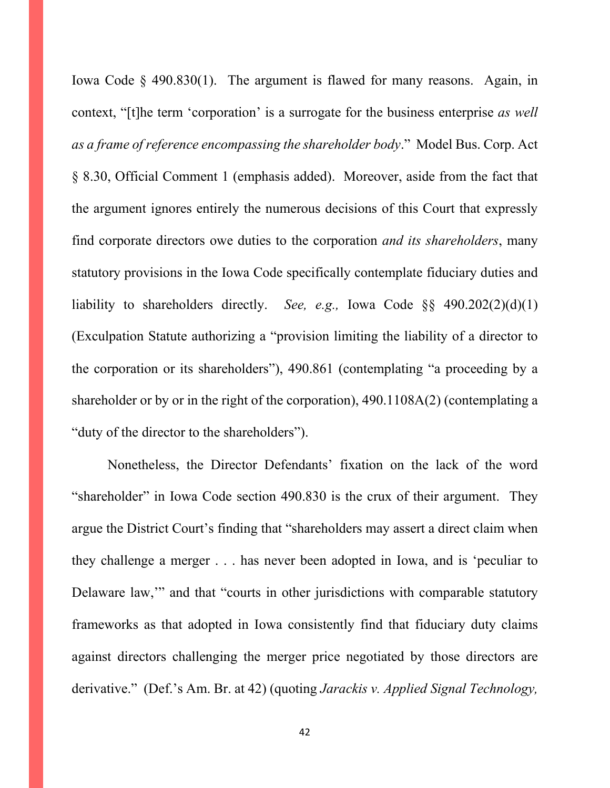Iowa Code § 490.830(1). The argument is flawed for many reasons. Again, in context, "[t]he term 'corporation' is a surrogate for the business enterprise *as well as a frame of reference encompassing the shareholder body*." Model Bus. Corp. Act § 8.30, Official Comment 1 (emphasis added). Moreover, aside from the fact that the argument ignores entirely the numerous decisions of this Court that expressly find corporate directors owe duties to the corporation *and its shareholders*, many statutory provisions in the Iowa Code specifically contemplate fiduciary duties and liability to shareholders directly. *See, e.g.,* Iowa Code §§ 490.202(2)(d)(1) (Exculpation Statute authorizing a "provision limiting the liability of a director to the corporation or its shareholders"), 490.861 (contemplating "a proceeding by a shareholder or by or in the right of the corporation), 490.1108A(2) (contemplating a "duty of the director to the shareholders").

Nonetheless, the Director Defendants' fixation on the lack of the word "shareholder" in Iowa Code section 490.830 is the crux of their argument. They argue the District Court's finding that "shareholders may assert a direct claim when they challenge a merger . . . has never been adopted in Iowa, and is 'peculiar to Delaware law,'" and that "courts in other jurisdictions with comparable statutory frameworks as that adopted in Iowa consistently find that fiduciary duty claims against directors challenging the merger price negotiated by those directors are derivative." (Def.'s Am. Br. at 42) (quoting *Jarackis v. Applied Signal Technology,*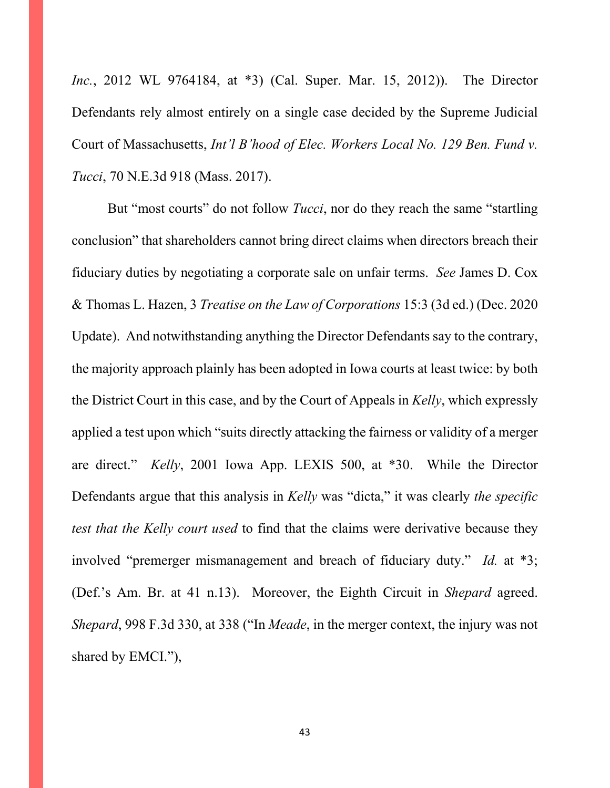*Inc.*, 2012 WL 9764184, at \*3) (Cal. Super. Mar. 15, 2012)). The Director Defendants rely almost entirely on a single case decided by the Supreme Judicial Court of Massachusetts, *Int'l B'hood of Elec. Workers Local No. 129 Ben. Fund v. Tucci*, 70 N.E.3d 918 (Mass. 2017).

But "most courts" do not follow *Tucci*, nor do they reach the same "startling conclusion" that shareholders cannot bring direct claims when directors breach their fiduciary duties by negotiating a corporate sale on unfair terms. *See* James D. Cox & Thomas L. Hazen, 3 *Treatise on the Law of Corporations* 15:3 (3d ed.) (Dec. 2020 Update). And notwithstanding anything the Director Defendants say to the contrary, the majority approach plainly has been adopted in Iowa courts at least twice: by both the District Court in this case, and by the Court of Appeals in *Kelly*, which expressly applied a test upon which "suits directly attacking the fairness or validity of a merger are direct." *Kelly*, 2001 Iowa App. LEXIS 500, at \*30. While the Director Defendants argue that this analysis in *Kelly* was "dicta," it was clearly *the specific test that the Kelly court used* to find that the claims were derivative because they involved "premerger mismanagement and breach of fiduciary duty." *Id.* at \*3; (Def.'s Am. Br. at 41 n.13). Moreover, the Eighth Circuit in *Shepard* agreed. *Shepard*, 998 F.3d 330, at 338 ("In *Meade*, in the merger context, the injury was not shared by EMCI."),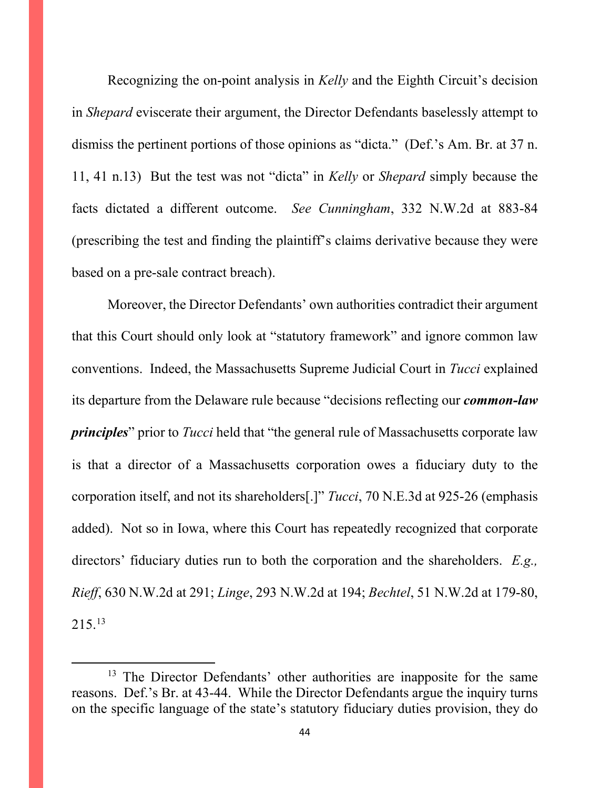Recognizing the on-point analysis in *Kelly* and the Eighth Circuit's decision in *Shepard* eviscerate their argument, the Director Defendants baselessly attempt to dismiss the pertinent portions of those opinions as "dicta." (Def.'s Am. Br. at 37 n. 11, 41 n.13) But the test was not "dicta" in *Kelly* or *Shepard* simply because the facts dictated a different outcome. *See Cunningham*, 332 N.W.2d at 883-84 (prescribing the test and finding the plaintiff's claims derivative because they were based on a pre-sale contract breach).

Moreover, the Director Defendants' own authorities contradict their argument that this Court should only look at "statutory framework" and ignore common law conventions. Indeed, the Massachusetts Supreme Judicial Court in *Tucci* explained its departure from the Delaware rule because "decisions reflecting our *common-law principles*" prior to *Tucci* held that "the general rule of Massachusetts corporate law is that a director of a Massachusetts corporation owes a fiduciary duty to the corporation itself, and not its shareholders[.]" *Tucci*, 70 N.E.3d at 925-26 (emphasis added). Not so in Iowa, where this Court has repeatedly recognized that corporate directors' fiduciary duties run to both the corporation and the shareholders. *E.g., Rieff*, 630 N.W.2d at 291; *Linge*, 293 N.W.2d at 194; *Bechtel*, 51 N.W.2d at 179-80, 215. [13](#page-43-0)

<span id="page-43-0"></span><sup>&</sup>lt;sup>13</sup> The Director Defendants' other authorities are inapposite for the same reasons. Def.'s Br. at 43-44. While the Director Defendants argue the inquiry turns on the specific language of the state's statutory fiduciary duties provision, they do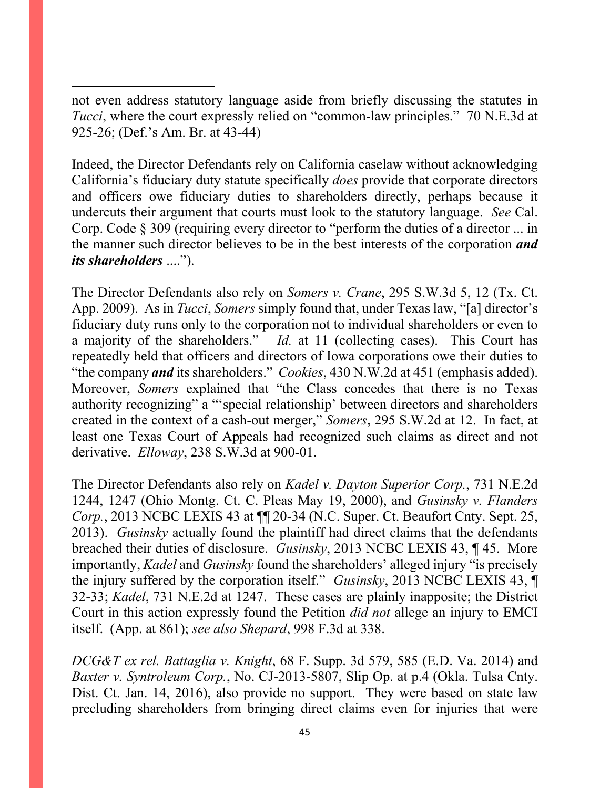not even address statutory language aside from briefly discussing the statutes in *Tucci*, where the court expressly relied on "common-law principles." 70 N.E.3d at 925-26; (Def.'s Am. Br. at 43-44)

Indeed, the Director Defendants rely on California caselaw without acknowledging California's fiduciary duty statute specifically *does* provide that corporate directors and officers owe fiduciary duties to shareholders directly, perhaps because it undercuts their argument that courts must look to the statutory language. *See* Cal. Corp. Code § 309 (requiring every director to "perform the duties of a director ... in the manner such director believes to be in the best interests of the corporation *and its shareholders* ....").

The Director Defendants also rely on *Somers v. Crane*, 295 S.W.3d 5, 12 (Tx. Ct. App. 2009). As in *Tucci*, *Somers* simply found that, under Texas law, "[a] director's fiduciary duty runs only to the corporation not to individual shareholders or even to a majority of the shareholders." *Id.* at 11 (collecting cases). This Court has repeatedly held that officers and directors of Iowa corporations owe their duties to "the company *and* its shareholders." *Cookies*, 430 N.W.2d at 451 (emphasis added). Moreover, *Somers* explained that "the Class concedes that there is no Texas authority recognizing" a "'special relationship' between directors and shareholders created in the context of a cash-out merger," *Somers*, 295 S.W.2d at 12. In fact, at least one Texas Court of Appeals had recognized such claims as direct and not derivative. *Elloway*, 238 S.W.3d at 900-01.

The Director Defendants also rely on *Kadel v. Dayton Superior Corp.*, 731 N.E.2d 1244, 1247 (Ohio Montg. Ct. C. Pleas May 19, 2000), and *Gusinsky v. Flanders Corp.*, 2013 NCBC LEXIS 43 at  $\P$  20-34 (N.C. Super. Ct. Beaufort Cnty. Sept. 25, 2013). *Gusinsky* actually found the plaintiff had direct claims that the defendants breached their duties of disclosure. *Gusinsky*, 2013 NCBC LEXIS 43, ¶ 45. More importantly, *Kadel* and *Gusinsky* found the shareholders' alleged injury "is precisely the injury suffered by the corporation itself." *Gusinsky*, 2013 NCBC LEXIS 43, ¶ 32-33; *Kadel*, 731 N.E.2d at 1247. These cases are plainly inapposite; the District Court in this action expressly found the Petition *did not* allege an injury to EMCI itself. (App. at 861); *see also Shepard*, 998 F.3d at 338.

*DCG&T ex rel. Battaglia v. Knight*, 68 F. Supp. 3d 579, 585 (E.D. Va. 2014) and *Baxter v. Syntroleum Corp.*, No. CJ-2013-5807, Slip Op. at p.4 (Okla. Tulsa Cnty. Dist. Ct. Jan. 14, 2016), also provide no support. They were based on state law precluding shareholders from bringing direct claims even for injuries that were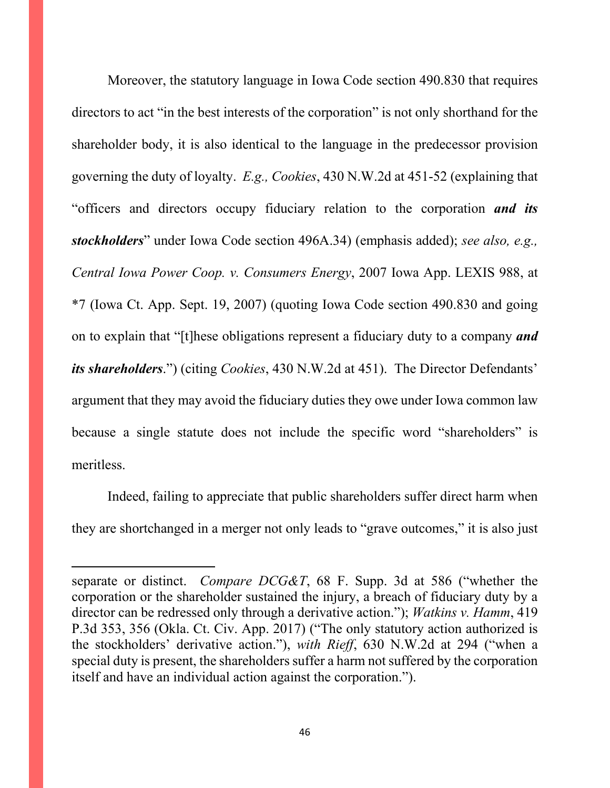Moreover, the statutory language in Iowa Code section 490.830 that requires directors to act "in the best interests of the corporation" is not only shorthand for the shareholder body, it is also identical to the language in the predecessor provision governing the duty of loyalty. *E.g., Cookies*, 430 N.W.2d at 451-52 (explaining that "officers and directors occupy fiduciary relation to the corporation *and its stockholders*" under Iowa Code section 496A.34) (emphasis added); *see also, e.g., Central Iowa Power Coop. v. Consumers Energy*, 2007 Iowa App. LEXIS 988, at \*7 (Iowa Ct. App. Sept. 19, 2007) (quoting Iowa Code section 490.830 and going on to explain that "[t]hese obligations represent a fiduciary duty to a company *and its shareholders*.") (citing *Cookies*, 430 N.W.2d at 451). The Director Defendants' argument that they may avoid the fiduciary duties they owe under Iowa common law because a single statute does not include the specific word "shareholders" is meritless.

Indeed, failing to appreciate that public shareholders suffer direct harm when they are shortchanged in a merger not only leads to "grave outcomes," it is also just

separate or distinct. *Compare DCG&T*, 68 F. Supp. 3d at 586 ("whether the corporation or the shareholder sustained the injury, a breach of fiduciary duty by a director can be redressed only through a derivative action."); *Watkins v. Hamm*, 419 P.3d 353, 356 (Okla. Ct. Civ. App. 2017) ("The only statutory action authorized is the stockholders' derivative action."), *with Rieff*, 630 N.W.2d at 294 ("when a special duty is present, the shareholders suffer a harm not suffered by the corporation itself and have an individual action against the corporation.").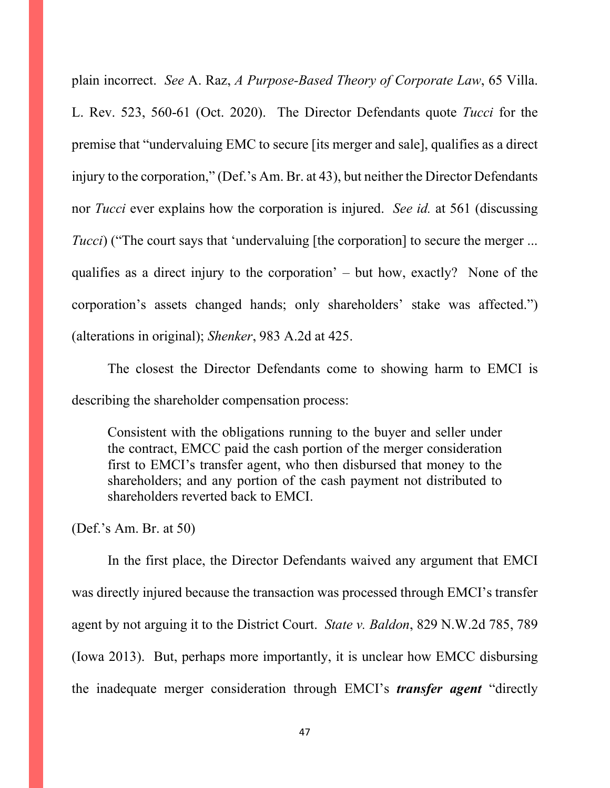plain incorrect. *See* A. Raz, *A Purpose-Based Theory of Corporate Law*, 65 Villa. L. Rev. 523, 560-61 (Oct. 2020). The Director Defendants quote *Tucci* for the premise that "undervaluing EMC to secure [its merger and sale], qualifies as a direct injury to the corporation," (Def.'s Am. Br. at 43), but neither the Director Defendants nor *Tucci* ever explains how the corporation is injured. *See id.* at 561 (discussing *Tucci*) ("The court says that 'undervaluing [the corporation] to secure the merger ... qualifies as a direct injury to the corporation' – but how, exactly? None of the corporation's assets changed hands; only shareholders' stake was affected.") (alterations in original); *Shenker*, 983 A.2d at 425.

The closest the Director Defendants come to showing harm to EMCI is describing the shareholder compensation process:

Consistent with the obligations running to the buyer and seller under the contract, EMCC paid the cash portion of the merger consideration first to EMCI's transfer agent, who then disbursed that money to the shareholders; and any portion of the cash payment not distributed to shareholders reverted back to EMCI.

(Def.'s Am. Br. at 50)

In the first place, the Director Defendants waived any argument that EMCI was directly injured because the transaction was processed through EMCI's transfer agent by not arguing it to the District Court. *State v. Baldon*, 829 N.W.2d 785, 789 (Iowa 2013). But, perhaps more importantly, it is unclear how EMCC disbursing the inadequate merger consideration through EMCI's *transfer agent* "directly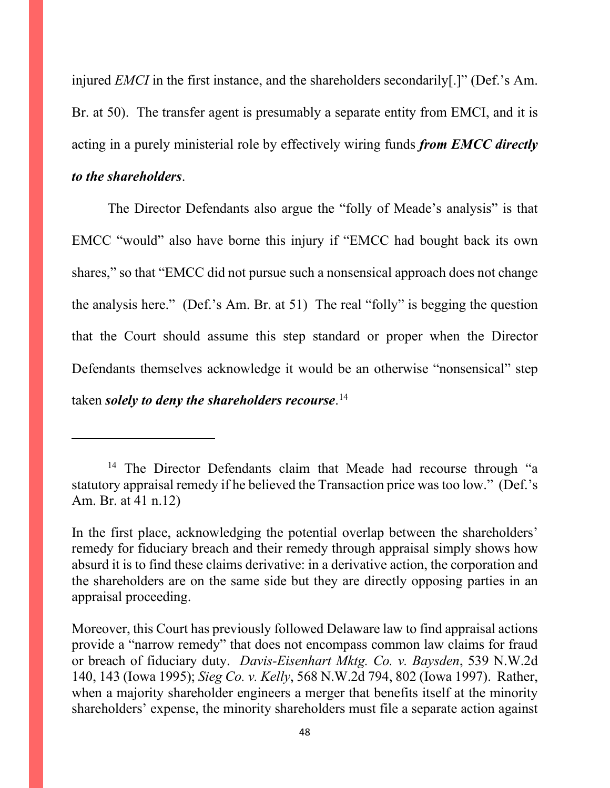injured *EMCI* in the first instance, and the shareholders secondarily[.]" (Def.'s Am. Br. at 50). The transfer agent is presumably a separate entity from EMCI, and it is acting in a purely ministerial role by effectively wiring funds *from EMCC directly to the shareholders*.

The Director Defendants also argue the "folly of Meade's analysis" is that EMCC "would" also have borne this injury if "EMCC had bought back its own shares," so that "EMCC did not pursue such a nonsensical approach does not change the analysis here." (Def.'s Am. Br. at 51) The real "folly" is begging the question that the Court should assume this step standard or proper when the Director Defendants themselves acknowledge it would be an otherwise "nonsensical" step taken *solely to deny the shareholders recourse*. [14](#page-47-0)

<span id="page-47-0"></span><sup>&</sup>lt;sup>14</sup> The Director Defendants claim that Meade had recourse through "a statutory appraisal remedy if he believed the Transaction price was too low." (Def.'s Am. Br. at 41 n.12)

In the first place, acknowledging the potential overlap between the shareholders' remedy for fiduciary breach and their remedy through appraisal simply shows how absurd it is to find these claims derivative: in a derivative action, the corporation and the shareholders are on the same side but they are directly opposing parties in an appraisal proceeding.

Moreover, this Court has previously followed Delaware law to find appraisal actions provide a "narrow remedy" that does not encompass common law claims for fraud or breach of fiduciary duty. *Davis-Eisenhart Mktg. Co. v. Baysden*, 539 N.W.2d 140, 143 (Iowa 1995); *Sieg Co. v. Kelly*, 568 N.W.2d 794, 802 (Iowa 1997). Rather, when a majority shareholder engineers a merger that benefits itself at the minority shareholders' expense, the minority shareholders must file a separate action against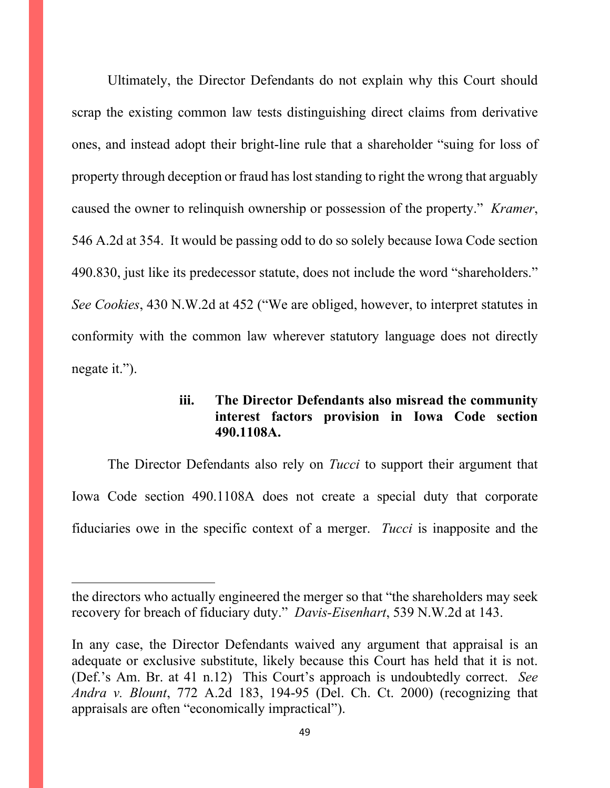Ultimately, the Director Defendants do not explain why this Court should scrap the existing common law tests distinguishing direct claims from derivative ones, and instead adopt their bright-line rule that a shareholder "suing for loss of property through deception or fraud has lost standing to right the wrong that arguably caused the owner to relinquish ownership or possession of the property." *Kramer*, 546 A.2d at 354. It would be passing odd to do so solely because Iowa Code section 490.830, just like its predecessor statute, does not include the word "shareholders." *See Cookies*, 430 N.W.2d at 452 ("We are obliged, however, to interpret statutes in conformity with the common law wherever statutory language does not directly negate it.").

# **iii. The Director Defendants also misread the community interest factors provision in Iowa Code section 490.1108A.**

The Director Defendants also rely on *Tucci* to support their argument that Iowa Code section 490.1108A does not create a special duty that corporate fiduciaries owe in the specific context of a merger. *Tucci* is inapposite and the

the directors who actually engineered the merger so that "the shareholders may seek recovery for breach of fiduciary duty." *Davis-Eisenhart*, 539 N.W.2d at 143.

In any case, the Director Defendants waived any argument that appraisal is an adequate or exclusive substitute, likely because this Court has held that it is not. (Def.'s Am. Br. at 41 n.12) This Court's approach is undoubtedly correct. *See Andra v. Blount*, 772 A.2d 183, 194-95 (Del. Ch. Ct. 2000) (recognizing that appraisals are often "economically impractical").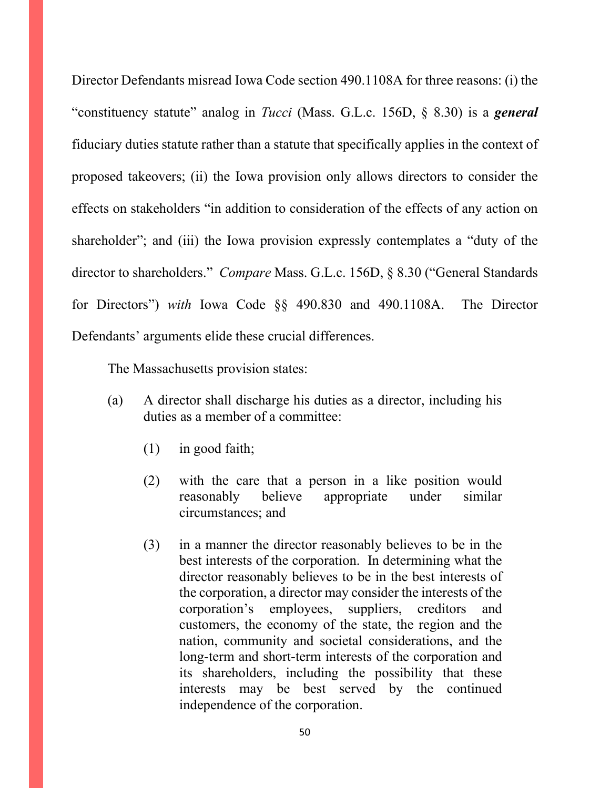Director Defendants misread Iowa Code section 490.1108A for three reasons: (i) the "constituency statute" analog in *Tucci* (Mass. G.L.c. 156D, § 8.30) is a *general* fiduciary duties statute rather than a statute that specifically applies in the context of proposed takeovers; (ii) the Iowa provision only allows directors to consider the effects on stakeholders "in addition to consideration of the effects of any action on shareholder"; and (iii) the Iowa provision expressly contemplates a "duty of the director to shareholders." *Compare* Mass. G.L.c. 156D, § 8.30 ("General Standards for Directors") *with* Iowa Code §§ 490.830 and 490.1108A. The Director Defendants' arguments elide these crucial differences.

The Massachusetts provision states:

- (a) A director shall discharge his duties as a director, including his duties as a member of a committee:
	- (1) in good faith;
	- (2) with the care that a person in a like position would reasonably believe appropriate under similar circumstances; and
	- (3) in a manner the director reasonably believes to be in the best interests of the corporation. In determining what the director reasonably believes to be in the best interests of the corporation, a director may consider the interests of the corporation's employees, suppliers, creditors and customers, the economy of the state, the region and the nation, community and societal considerations, and the long-term and short-term interests of the corporation and its shareholders, including the possibility that these interests may be best served by the continued independence of the corporation.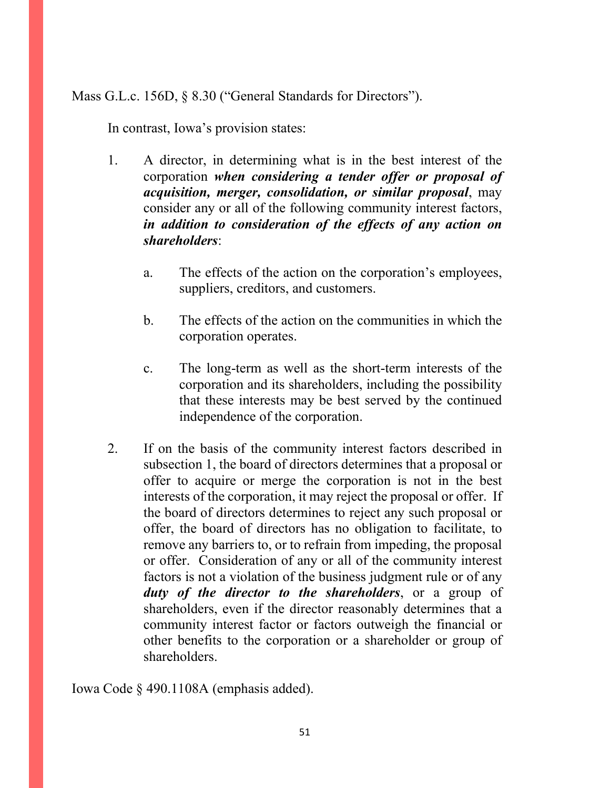Mass G.L.c. 156D, § 8.30 ("General Standards for Directors").

In contrast, Iowa's provision states:

- 1. A director, in determining what is in the best interest of the corporation *when considering a tender offer or proposal of acquisition, merger, consolidation, or similar proposal*, may consider any or all of the following community interest factors, *in addition to consideration of the effects of any action on shareholders*:
	- a. The effects of the action on the corporation's employees, suppliers, creditors, and customers.
	- b. The effects of the action on the communities in which the corporation operates.
	- c. The long-term as well as the short-term interests of the corporation and its shareholders, including the possibility that these interests may be best served by the continued independence of the corporation.
- 2. If on the basis of the community interest factors described in subsection 1, the board of directors determines that a proposal or offer to acquire or merge the corporation is not in the best interests of the corporation, it may reject the proposal or offer. If the board of directors determines to reject any such proposal or offer, the board of directors has no obligation to facilitate, to remove any barriers to, or to refrain from impeding, the proposal or offer. Consideration of any or all of the community interest factors is not a violation of the business judgment rule or of any *duty of the director to the shareholders*, or a group of shareholders, even if the director reasonably determines that a community interest factor or factors outweigh the financial or other benefits to the corporation or a shareholder or group of shareholders.

Iowa Code § 490.1108A (emphasis added).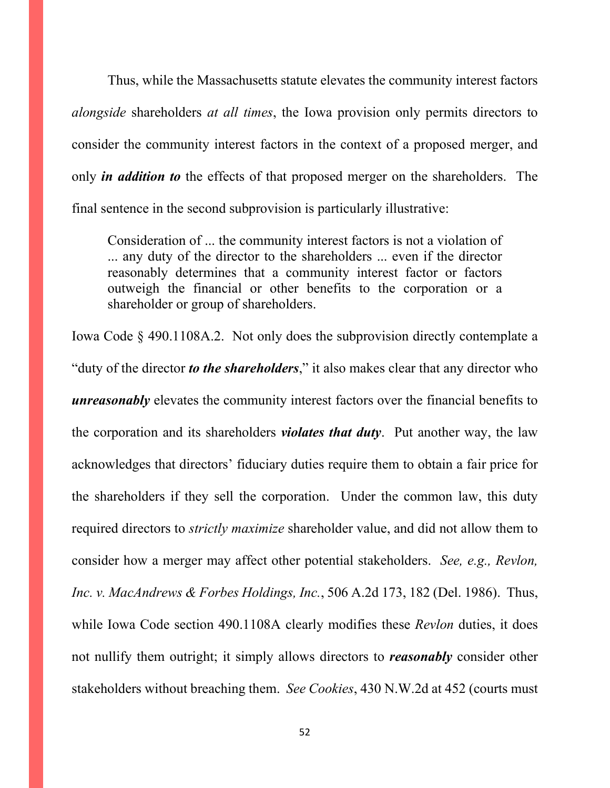Thus, while the Massachusetts statute elevates the community interest factors *alongside* shareholders *at all times*, the Iowa provision only permits directors to consider the community interest factors in the context of a proposed merger, and only *in addition to* the effects of that proposed merger on the shareholders. The final sentence in the second subprovision is particularly illustrative:

Consideration of ... the community interest factors is not a violation of ... any duty of the director to the shareholders ... even if the director reasonably determines that a community interest factor or factors outweigh the financial or other benefits to the corporation or a shareholder or group of shareholders.

Iowa Code § 490.1108A.2. Not only does the subprovision directly contemplate a "duty of the director *to the shareholders*," it also makes clear that any director who *unreasonably* elevates the community interest factors over the financial benefits to the corporation and its shareholders *violates that duty*. Put another way, the law acknowledges that directors' fiduciary duties require them to obtain a fair price for the shareholders if they sell the corporation. Under the common law, this duty required directors to *strictly maximize* shareholder value, and did not allow them to consider how a merger may affect other potential stakeholders. *See, e.g., Revlon, Inc. v. MacAndrews & Forbes Holdings, Inc.*, 506 A.2d 173, 182 (Del. 1986). Thus, while Iowa Code section 490.1108A clearly modifies these *Revlon* duties, it does not nullify them outright; it simply allows directors to *reasonably* consider other stakeholders without breaching them. *See Cookies*, 430 N.W.2d at 452 (courts must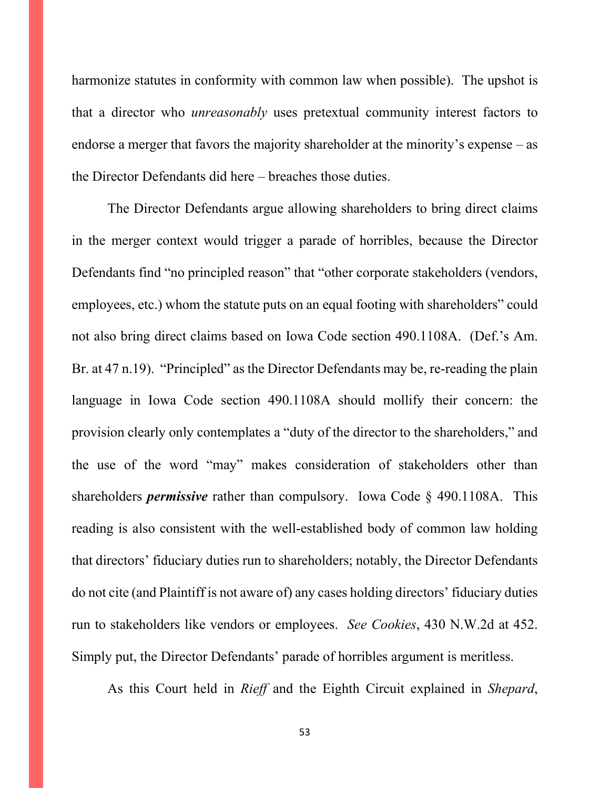harmonize statutes in conformity with common law when possible). The upshot is that a director who *unreasonably* uses pretextual community interest factors to endorse a merger that favors the majority shareholder at the minority's expense – as the Director Defendants did here – breaches those duties.

The Director Defendants argue allowing shareholders to bring direct claims in the merger context would trigger a parade of horribles, because the Director Defendants find "no principled reason" that "other corporate stakeholders (vendors, employees, etc.) whom the statute puts on an equal footing with shareholders" could not also bring direct claims based on Iowa Code section 490.1108A. (Def.'s Am. Br. at 47 n.19). "Principled" as the Director Defendants may be, re-reading the plain language in Iowa Code section 490.1108A should mollify their concern: the provision clearly only contemplates a "duty of the director to the shareholders," and the use of the word "may" makes consideration of stakeholders other than shareholders *permissive* rather than compulsory. Iowa Code § 490.1108A. This reading is also consistent with the well-established body of common law holding that directors' fiduciary duties run to shareholders; notably, the Director Defendants do not cite (and Plaintiff is not aware of) any cases holding directors' fiduciary duties run to stakeholders like vendors or employees. *See Cookies*, 430 N.W.2d at 452. Simply put, the Director Defendants' parade of horribles argument is meritless.

As this Court held in *Rieff* and the Eighth Circuit explained in *Shepard*,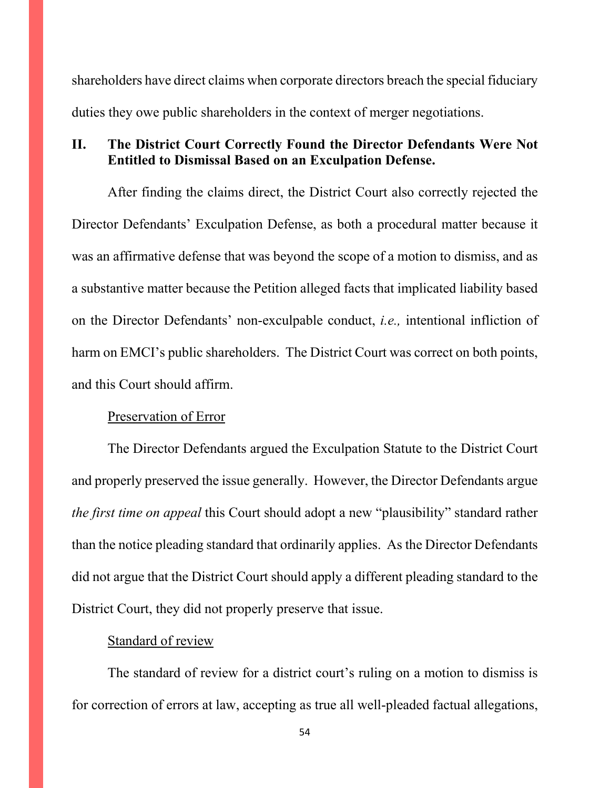shareholders have direct claims when corporate directors breach the special fiduciary duties they owe public shareholders in the context of merger negotiations.

# **II. The District Court Correctly Found the Director Defendants Were Not Entitled to Dismissal Based on an Exculpation Defense.**

After finding the claims direct, the District Court also correctly rejected the Director Defendants' Exculpation Defense, as both a procedural matter because it was an affirmative defense that was beyond the scope of a motion to dismiss, and as a substantive matter because the Petition alleged facts that implicated liability based on the Director Defendants' non-exculpable conduct, *i.e.,* intentional infliction of harm on EMCI's public shareholders. The District Court was correct on both points, and this Court should affirm.

#### Preservation of Error

The Director Defendants argued the Exculpation Statute to the District Court and properly preserved the issue generally. However, the Director Defendants argue *the first time on appeal* this Court should adopt a new "plausibility" standard rather than the notice pleading standard that ordinarily applies. As the Director Defendants did not argue that the District Court should apply a different pleading standard to the District Court, they did not properly preserve that issue.

#### Standard of review

The standard of review for a district court's ruling on a motion to dismiss is for correction of errors at law, accepting as true all well-pleaded factual allegations,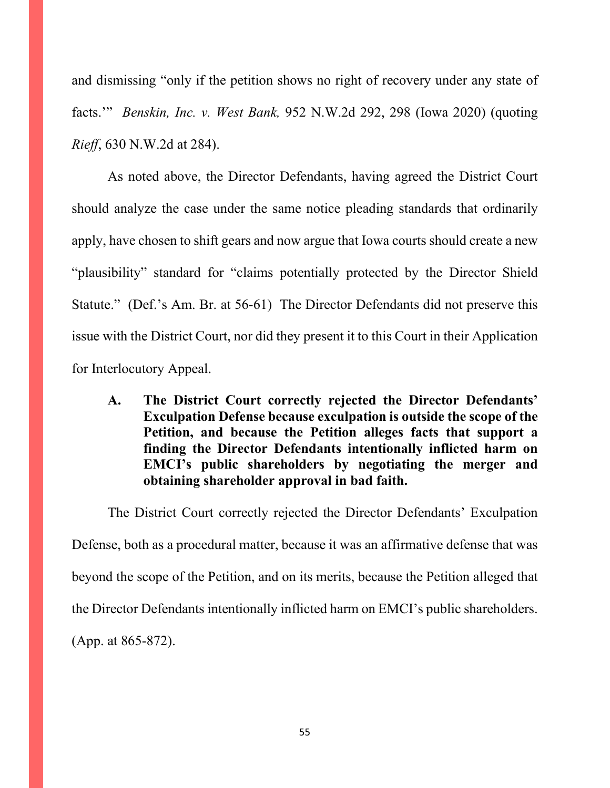and dismissing "only if the petition shows no right of recovery under any state of facts.'" *Benskin, Inc. v. West Bank,* 952 N.W.2d 292, 298 (Iowa 2020) (quoting *Rieff*, 630 N.W.2d at 284).

As noted above, the Director Defendants, having agreed the District Court should analyze the case under the same notice pleading standards that ordinarily apply, have chosen to shift gears and now argue that Iowa courts should create a new "plausibility" standard for "claims potentially protected by the Director Shield Statute." (Def.'s Am. Br. at 56-61) The Director Defendants did not preserve this issue with the District Court, nor did they present it to this Court in their Application for Interlocutory Appeal.

**A. The District Court correctly rejected the Director Defendants' Exculpation Defense because exculpation is outside the scope of the Petition, and because the Petition alleges facts that support a finding the Director Defendants intentionally inflicted harm on EMCI's public shareholders by negotiating the merger and obtaining shareholder approval in bad faith.**

The District Court correctly rejected the Director Defendants' Exculpation Defense, both as a procedural matter, because it was an affirmative defense that was beyond the scope of the Petition, and on its merits, because the Petition alleged that the Director Defendants intentionally inflicted harm on EMCI's public shareholders. (App. at 865-872).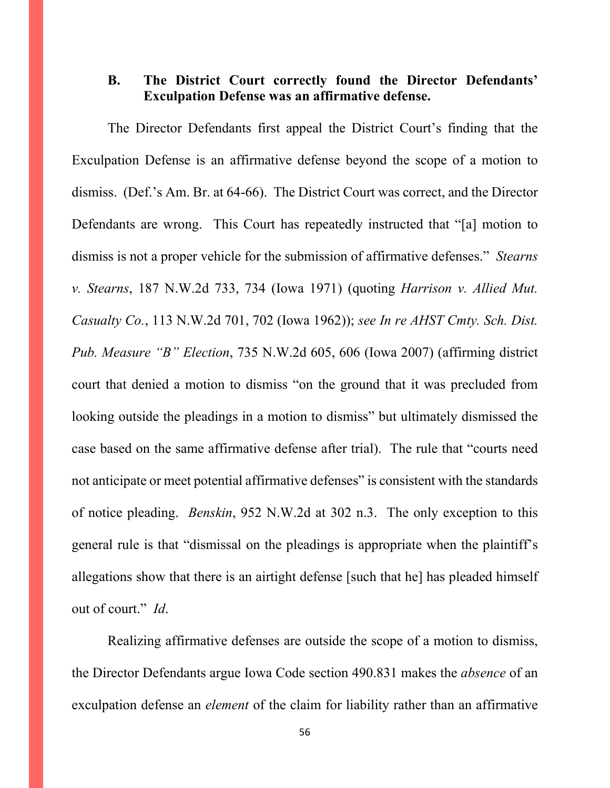# **B. The District Court correctly found the Director Defendants' Exculpation Defense was an affirmative defense.**

The Director Defendants first appeal the District Court's finding that the Exculpation Defense is an affirmative defense beyond the scope of a motion to dismiss. (Def.'s Am. Br. at 64-66). The District Court was correct, and the Director Defendants are wrong. This Court has repeatedly instructed that "[a] motion to dismiss is not a proper vehicle for the submission of affirmative defenses." *Stearns v. Stearns*, 187 N.W.2d 733, 734 (Iowa 1971) (quoting *Harrison v. Allied Mut. Casualty Co.*, 113 N.W.2d 701, 702 (Iowa 1962)); *see In re AHST Cmty. Sch. Dist. Pub. Measure "B" Election*, 735 N.W.2d 605, 606 (Iowa 2007) (affirming district court that denied a motion to dismiss "on the ground that it was precluded from looking outside the pleadings in a motion to dismiss" but ultimately dismissed the case based on the same affirmative defense after trial). The rule that "courts need not anticipate or meet potential affirmative defenses" is consistent with the standards of notice pleading. *Benskin*, 952 N.W.2d at 302 n.3. The only exception to this general rule is that "dismissal on the pleadings is appropriate when the plaintiff's allegations show that there is an airtight defense [such that he] has pleaded himself out of court." *Id*.

Realizing affirmative defenses are outside the scope of a motion to dismiss, the Director Defendants argue Iowa Code section 490.831 makes the *absence* of an exculpation defense an *element* of the claim for liability rather than an affirmative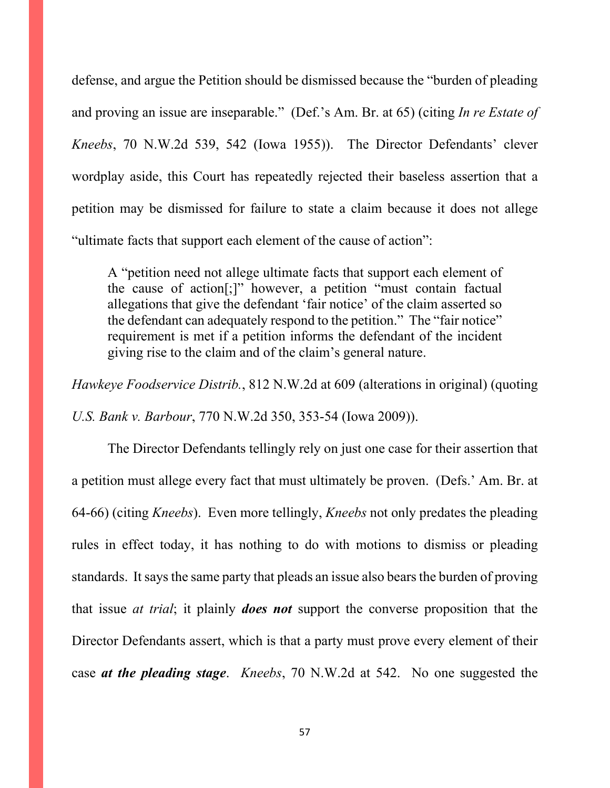defense, and argue the Petition should be dismissed because the "burden of pleading and proving an issue are inseparable." (Def.'s Am. Br. at 65) (citing *In re Estate of Kneebs*, 70 N.W.2d 539, 542 (Iowa 1955)). The Director Defendants' clever wordplay aside, this Court has repeatedly rejected their baseless assertion that a petition may be dismissed for failure to state a claim because it does not allege "ultimate facts that support each element of the cause of action":

A "petition need not allege ultimate facts that support each element of the cause of action[;]" however, a petition "must contain factual allegations that give the defendant 'fair notice' of the claim asserted so the defendant can adequately respond to the petition." The "fair notice" requirement is met if a petition informs the defendant of the incident giving rise to the claim and of the claim's general nature.

*Hawkeye Foodservice Distrib.*, 812 N.W.2d at 609 (alterations in original) (quoting *U.S. Bank v. Barbour*, 770 N.W.2d 350, 353-54 (Iowa 2009)).

The Director Defendants tellingly rely on just one case for their assertion that a petition must allege every fact that must ultimately be proven. (Defs.' Am. Br. at 64-66) (citing *Kneebs*). Even more tellingly, *Kneebs* not only predates the pleading rules in effect today, it has nothing to do with motions to dismiss or pleading standards. It says the same party that pleads an issue also bears the burden of proving that issue *at trial*; it plainly *does not* support the converse proposition that the Director Defendants assert, which is that a party must prove every element of their case *at the pleading stage*. *Kneebs*, 70 N.W.2d at 542. No one suggested the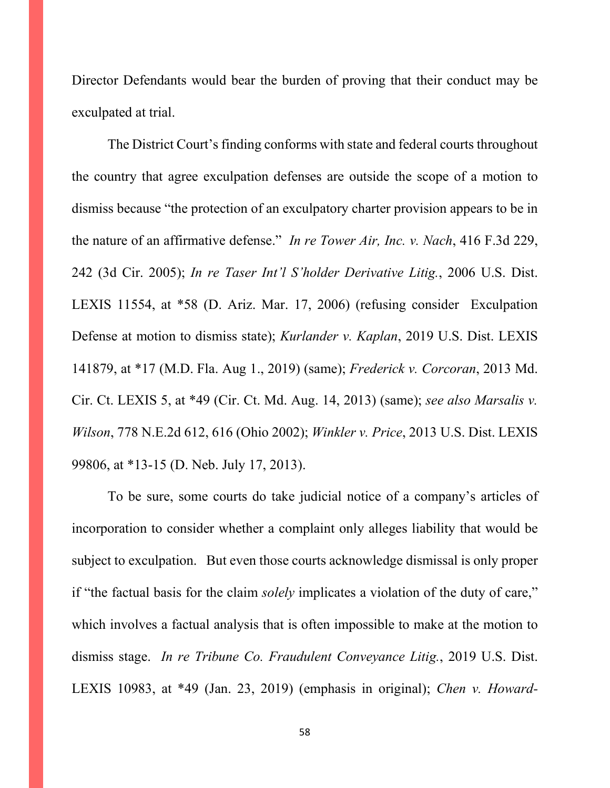Director Defendants would bear the burden of proving that their conduct may be exculpated at trial.

The District Court's finding conforms with state and federal courts throughout the country that agree exculpation defenses are outside the scope of a motion to dismiss because "the protection of an exculpatory charter provision appears to be in the nature of an affirmative defense." *In re Tower Air, Inc. v. Nach*, 416 F.3d 229, 242 (3d Cir. 2005); *In re Taser Int'l S'holder Derivative Litig.*, 2006 U.S. Dist. LEXIS 11554, at \*58 (D. Ariz. Mar. 17, 2006) (refusing consider Exculpation Defense at motion to dismiss state); *Kurlander v. Kaplan*, 2019 U.S. Dist. LEXIS 141879, at \*17 (M.D. Fla. Aug 1., 2019) (same); *Frederick v. Corcoran*, 2013 Md. Cir. Ct. LEXIS 5, at \*49 (Cir. Ct. Md. Aug. 14, 2013) (same); *see also Marsalis v. Wilson*, 778 N.E.2d 612, 616 (Ohio 2002); *Winkler v. Price*, 2013 U.S. Dist. LEXIS 99806, at \*13-15 (D. Neb. July 17, 2013).

To be sure, some courts do take judicial notice of a company's articles of incorporation to consider whether a complaint only alleges liability that would be subject to exculpation. But even those courts acknowledge dismissal is only proper if "the factual basis for the claim *solely* implicates a violation of the duty of care," which involves a factual analysis that is often impossible to make at the motion to dismiss stage. *In re Tribune Co. Fraudulent Conveyance Litig.*, 2019 U.S. Dist. LEXIS 10983, at \*49 (Jan. 23, 2019) (emphasis in original); *Chen v. Howard-*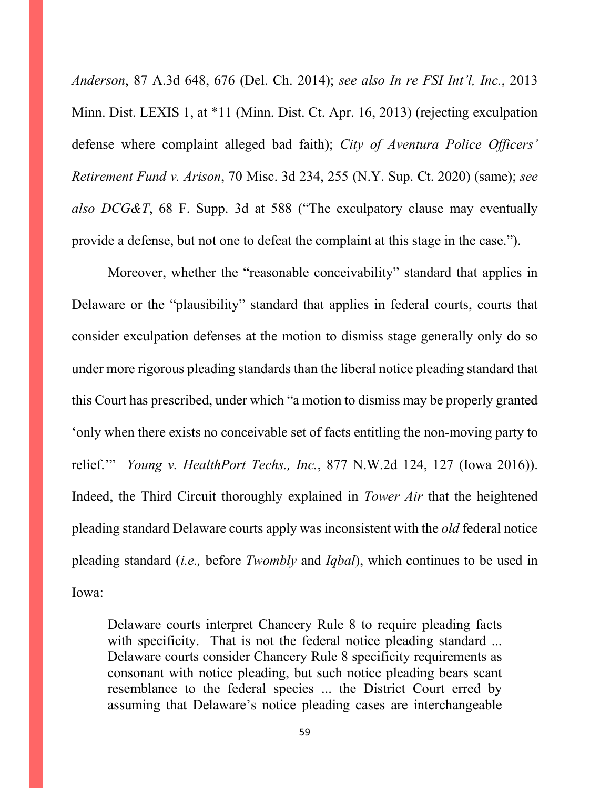*Anderson*, 87 A.3d 648, 676 (Del. Ch. 2014); *see also In re FSI Int'l, Inc.*, 2013 Minn. Dist. LEXIS 1, at \*11 (Minn. Dist. Ct. Apr. 16, 2013) (rejecting exculpation defense where complaint alleged bad faith); *City of Aventura Police Officers' Retirement Fund v. Arison*, 70 Misc. 3d 234, 255 (N.Y. Sup. Ct. 2020) (same); *see also DCG&T*, 68 F. Supp. 3d at 588 ("The exculpatory clause may eventually provide a defense, but not one to defeat the complaint at this stage in the case.").

Moreover, whether the "reasonable conceivability" standard that applies in Delaware or the "plausibility" standard that applies in federal courts, courts that consider exculpation defenses at the motion to dismiss stage generally only do so under more rigorous pleading standards than the liberal notice pleading standard that this Court has prescribed, under which "a motion to dismiss may be properly granted 'only when there exists no conceivable set of facts entitling the non-moving party to relief.'" *Young v. HealthPort Techs., Inc.*, 877 N.W.2d 124, 127 (Iowa 2016)). Indeed, the Third Circuit thoroughly explained in *Tower Air* that the heightened pleading standard Delaware courts apply was inconsistent with the *old* federal notice pleading standard (*i.e.,* before *Twombly* and *Iqbal*), which continues to be used in Iowa:

Delaware courts interpret Chancery Rule 8 to require pleading facts with specificity. That is not the federal notice pleading standard ... Delaware courts consider Chancery Rule 8 specificity requirements as consonant with notice pleading, but such notice pleading bears scant resemblance to the federal species ... the District Court erred by assuming that Delaware's notice pleading cases are interchangeable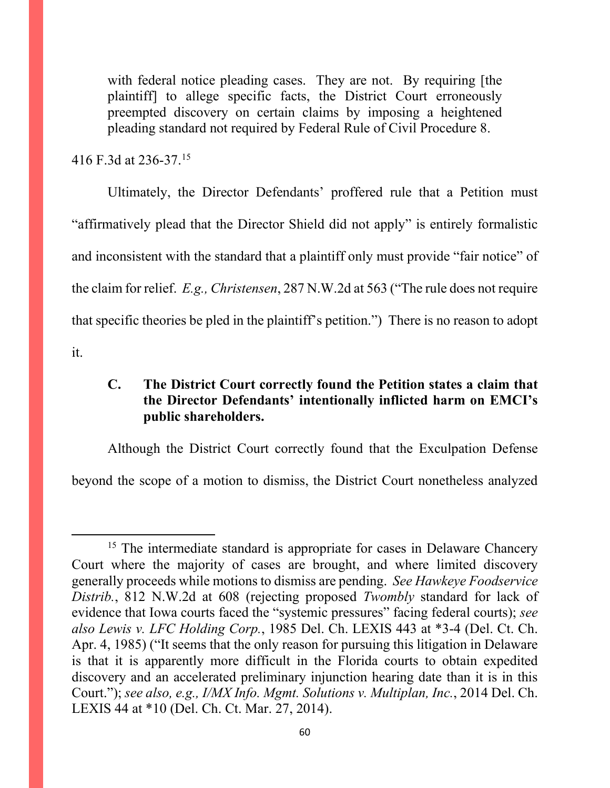with federal notice pleading cases. They are not. By requiring [the plaintiff] to allege specific facts, the District Court erroneously preempted discovery on certain claims by imposing a heightened pleading standard not required by Federal Rule of Civil Procedure 8.

416 F.3d at 236-37.[15](#page-59-0)

Ultimately, the Director Defendants' proffered rule that a Petition must "affirmatively plead that the Director Shield did not apply" is entirely formalistic and inconsistent with the standard that a plaintiff only must provide "fair notice" of the claim for relief. *E.g., Christensen*, 287 N.W.2d at 563 ("The rule does not require that specific theories be pled in the plaintiff's petition.") There is no reason to adopt it.

# **C. The District Court correctly found the Petition states a claim that the Director Defendants' intentionally inflicted harm on EMCI's public shareholders.**

Although the District Court correctly found that the Exculpation Defense beyond the scope of a motion to dismiss, the District Court nonetheless analyzed

<span id="page-59-0"></span><sup>&</sup>lt;sup>15</sup> The intermediate standard is appropriate for cases in Delaware Chancery Court where the majority of cases are brought, and where limited discovery generally proceeds while motions to dismiss are pending. *See Hawkeye Foodservice Distrib.*, 812 N.W.2d at 608 (rejecting proposed *Twombly* standard for lack of evidence that Iowa courts faced the "systemic pressures" facing federal courts); *see also Lewis v. LFC Holding Corp.*, 1985 Del. Ch. LEXIS 443 at \*3-4 (Del. Ct. Ch. Apr. 4, 1985) ("It seems that the only reason for pursuing this litigation in Delaware is that it is apparently more difficult in the Florida courts to obtain expedited discovery and an accelerated preliminary injunction hearing date than it is in this Court."); *see also, e.g., I/MX Info. Mgmt. Solutions v. Multiplan, Inc.*, 2014 Del. Ch. LEXIS 44 at \*10 (Del. Ch. Ct. Mar. 27, 2014).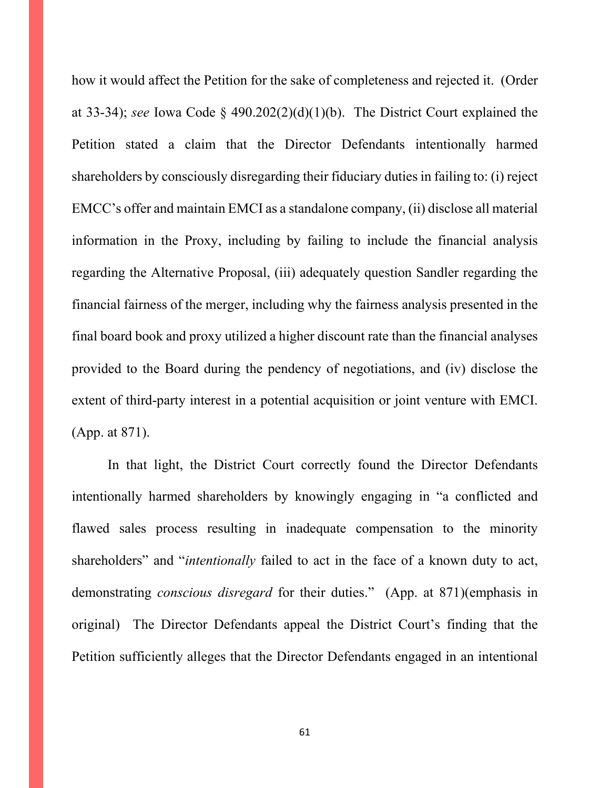how it would affect the Petition for the sake of completeness and rejected it. (Order at 33-34); *see* Iowa Code § 490.202(2)(d)(1)(b). The District Court explained the Petition stated a claim that the Director Defendants intentionally harmed shareholders by consciously disregarding their fiduciary duties in failing to: (i) reject EMCC's offer and maintain EMCI as a standalone company, (ii) disclose all material information in the Proxy, including by failing to include the financial analysis regarding the Alternative Proposal, (iii) adequately question Sandler regarding the financial fairness of the merger, including why the fairness analysis presented in the final board book and proxy utilized a higher discount rate than the financial analyses provided to the Board during the pendency of negotiations, and (iv) disclose the extent of third-party interest in a potential acquisition or joint venture with EMCI. (App. at 871).

In that light, the District Court correctly found the Director Defendants intentionally harmed shareholders by knowingly engaging in "a conflicted and flawed sales process resulting in inadequate compensation to the minority shareholders" and "*intentionally* failed to act in the face of a known duty to act, demonstrating *conscious disregard* for their duties." (App. at 871)(emphasis in original) The Director Defendants appeal the District Court's finding that the Petition sufficiently alleges that the Director Defendants engaged in an intentional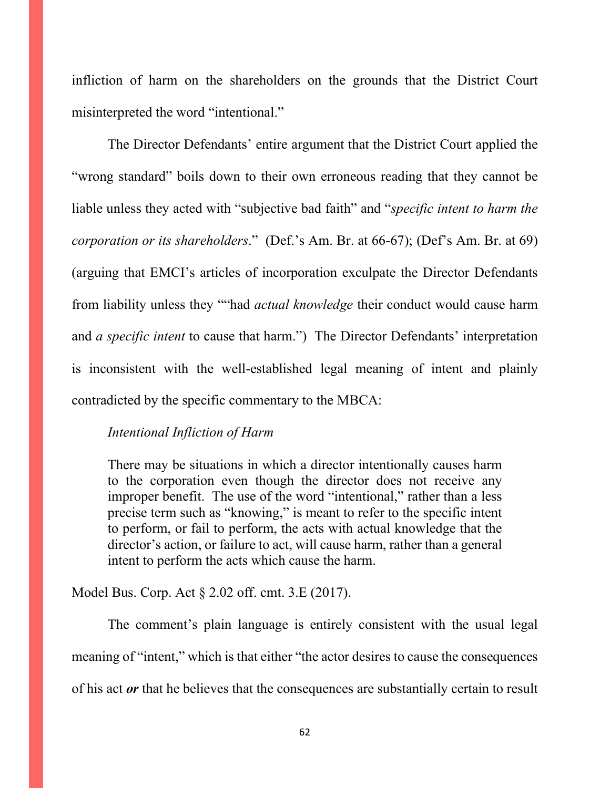infliction of harm on the shareholders on the grounds that the District Court misinterpreted the word "intentional."

The Director Defendants' entire argument that the District Court applied the "wrong standard" boils down to their own erroneous reading that they cannot be liable unless they acted with "subjective bad faith" and "*specific intent to harm the corporation or its shareholders*." (Def.'s Am. Br. at 66-67); (Def's Am. Br. at 69) (arguing that EMCI's articles of incorporation exculpate the Director Defendants from liability unless they ""had *actual knowledge* their conduct would cause harm and *a specific intent* to cause that harm.") The Director Defendants' interpretation is inconsistent with the well-established legal meaning of intent and plainly contradicted by the specific commentary to the MBCA:

#### *Intentional Infliction of Harm*

There may be situations in which a director intentionally causes harm to the corporation even though the director does not receive any improper benefit. The use of the word "intentional," rather than a less precise term such as "knowing," is meant to refer to the specific intent to perform, or fail to perform, the acts with actual knowledge that the director's action, or failure to act, will cause harm, rather than a general intent to perform the acts which cause the harm.

Model Bus. Corp. Act § 2.02 off. cmt. 3.E (2017).

The comment's plain language is entirely consistent with the usual legal meaning of "intent," which is that either "the actor desires to cause the consequences of his act *or* that he believes that the consequences are substantially certain to result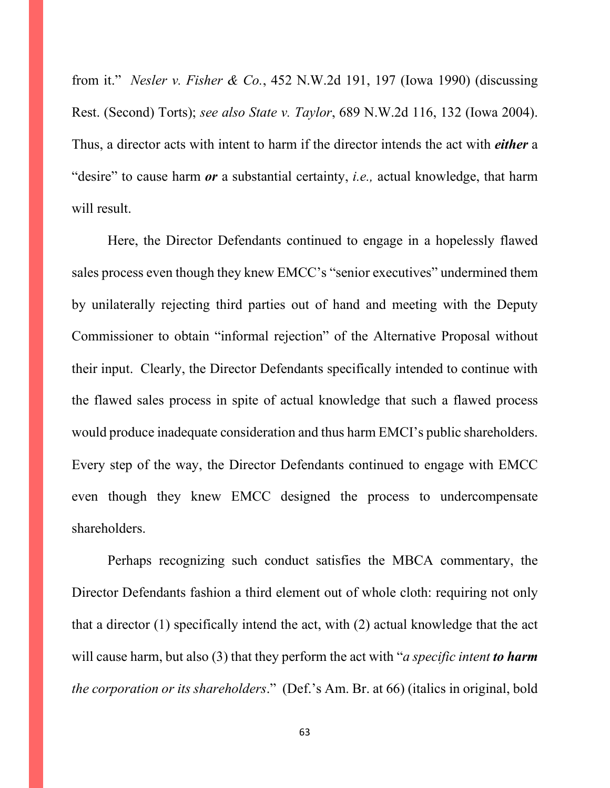from it." *Nesler v. Fisher & Co.*, 452 N.W.2d 191, 197 (Iowa 1990) (discussing Rest. (Second) Torts); *see also State v. Taylor*, 689 N.W.2d 116, 132 (Iowa 2004). Thus, a director acts with intent to harm if the director intends the act with *either* a "desire" to cause harm *or* a substantial certainty, *i.e.,* actual knowledge, that harm will result.

Here, the Director Defendants continued to engage in a hopelessly flawed sales process even though they knew EMCC's "senior executives" undermined them by unilaterally rejecting third parties out of hand and meeting with the Deputy Commissioner to obtain "informal rejection" of the Alternative Proposal without their input. Clearly, the Director Defendants specifically intended to continue with the flawed sales process in spite of actual knowledge that such a flawed process would produce inadequate consideration and thus harm EMCI's public shareholders. Every step of the way, the Director Defendants continued to engage with EMCC even though they knew EMCC designed the process to undercompensate shareholders.

Perhaps recognizing such conduct satisfies the MBCA commentary, the Director Defendants fashion a third element out of whole cloth: requiring not only that a director (1) specifically intend the act, with (2) actual knowledge that the act will cause harm, but also (3) that they perform the act with "*a specific intent to harm the corporation or its shareholders*." (Def.'s Am. Br. at 66) (italics in original, bold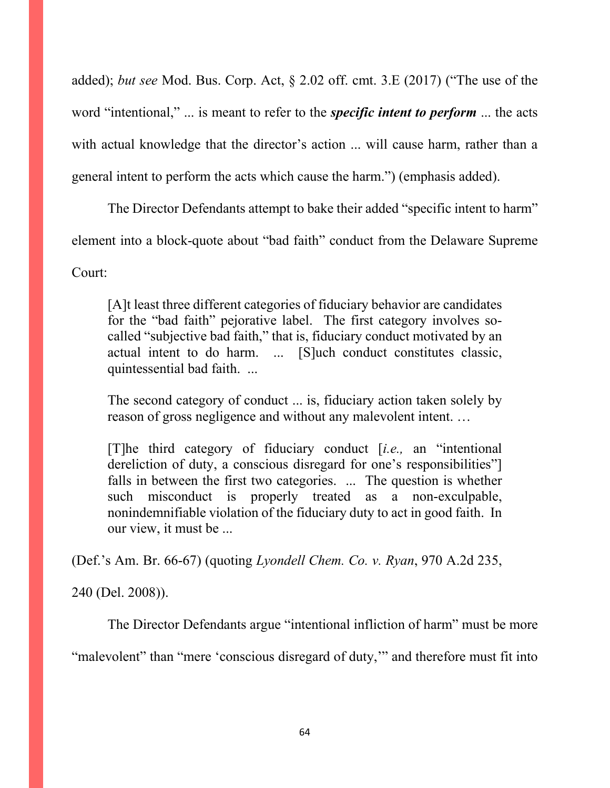added); *but see* Mod. Bus. Corp. Act, § 2.02 off. cmt. 3.E (2017) ("The use of the word "intentional," ... is meant to refer to the *specific intent to perform* ... the acts with actual knowledge that the director's action ... will cause harm, rather than a general intent to perform the acts which cause the harm.") (emphasis added).

The Director Defendants attempt to bake their added "specific intent to harm"

element into a block-quote about "bad faith" conduct from the Delaware Supreme

Court:

[A]t least three different categories of fiduciary behavior are candidates for the "bad faith" pejorative label. The first category involves socalled "subjective bad faith," that is, fiduciary conduct motivated by an actual intent to do harm. ... [S]uch conduct constitutes classic, quintessential bad faith. ...

The second category of conduct ... is, fiduciary action taken solely by reason of gross negligence and without any malevolent intent. …

[T]he third category of fiduciary conduct [*i.e.,* an "intentional dereliction of duty, a conscious disregard for one's responsibilities"] falls in between the first two categories. ... The question is whether such misconduct is properly treated as a non-exculpable, nonindemnifiable violation of the fiduciary duty to act in good faith. In our view, it must be ...

(Def.'s Am. Br. 66-67) (quoting *Lyondell Chem. Co. v. Ryan*, 970 A.2d 235,

240 (Del. 2008)).

The Director Defendants argue "intentional infliction of harm" must be more

"malevolent" than "mere 'conscious disregard of duty," and therefore must fit into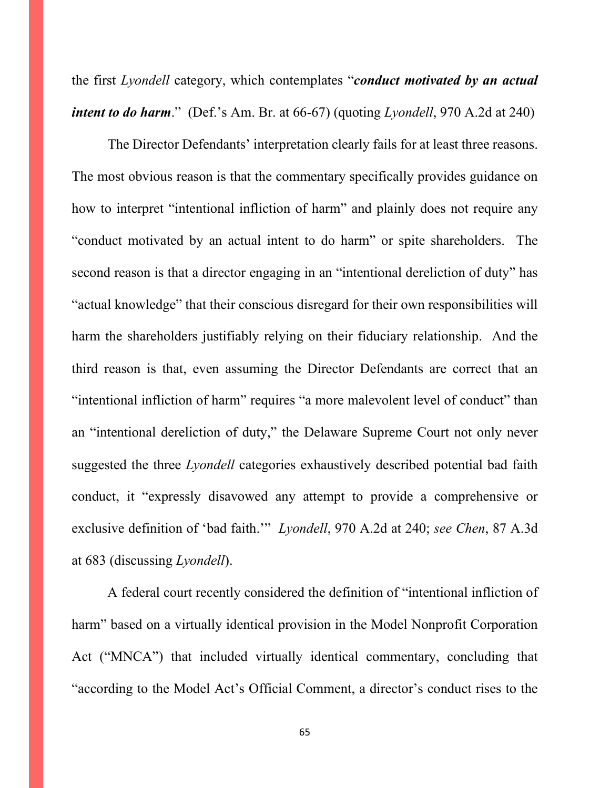the first *Lyondell* category, which contemplates "*conduct motivated by an actual intent to do harm.*" (Def.'s Am. Br. at 66-67) (quoting *Lyondell*, 970 A.2d at 240)

The Director Defendants' interpretation clearly fails for at least three reasons. The most obvious reason is that the commentary specifically provides guidance on how to interpret "intentional infliction of harm" and plainly does not require any "conduct motivated by an actual intent to do harm" or spite shareholders. The second reason is that a director engaging in an "intentional dereliction of duty" has "actual knowledge" that their conscious disregard for their own responsibilities will harm the shareholders justifiably relying on their fiduciary relationship. And the third reason is that, even assuming the Director Defendants are correct that an "intentional infliction of harm" requires "a more malevolent level of conduct" than an "intentional dereliction of duty," the Delaware Supreme Court not only never suggested the three *Lyondell* categories exhaustively described potential bad faith conduct, it "expressly disavowed any attempt to provide a comprehensive or exclusive definition of 'bad faith.'" *Lyondell*, 970 A.2d at 240; *see Chen*, 87 A.3d at 683 (discussing *Lyondell*).

A federal court recently considered the definition of "intentional infliction of harm" based on a virtually identical provision in the Model Nonprofit Corporation Act ("MNCA") that included virtually identical commentary, concluding that "according to the Model Act's Official Comment, a director's conduct rises to the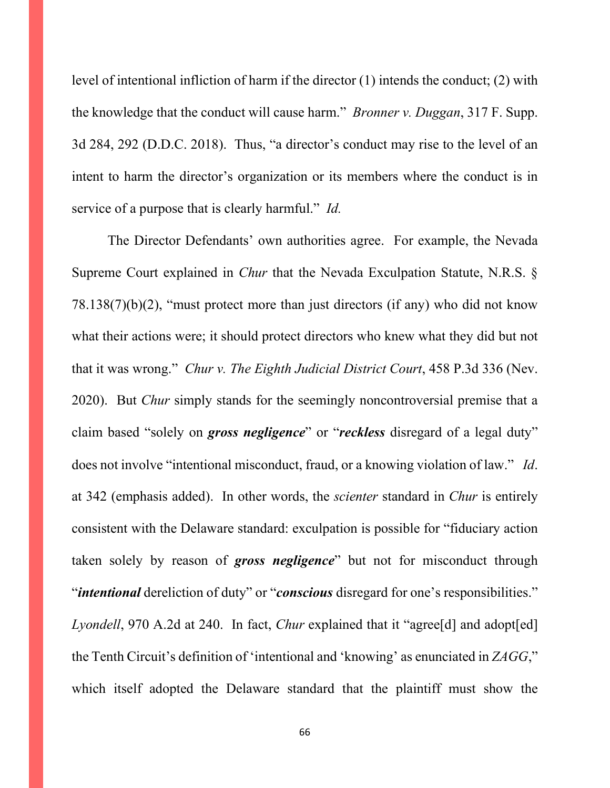level of intentional infliction of harm if the director (1) intends the conduct; (2) with the knowledge that the conduct will cause harm." *Bronner v. Duggan*, 317 F. Supp. 3d 284, 292 (D.D.C. 2018). Thus, "a director's conduct may rise to the level of an intent to harm the director's organization or its members where the conduct is in service of a purpose that is clearly harmful." *Id.*

The Director Defendants' own authorities agree. For example, the Nevada Supreme Court explained in *Chur* that the Nevada Exculpation Statute, N.R.S. §  $78.138(7)(b)(2)$ , "must protect more than just directors (if any) who did not know what their actions were; it should protect directors who knew what they did but not that it was wrong." *Chur v. The Eighth Judicial District Court*, 458 P.3d 336 (Nev. 2020). But *Chur* simply stands for the seemingly noncontroversial premise that a claim based "solely on *gross negligence*" or "*reckless* disregard of a legal duty" does not involve "intentional misconduct, fraud, or a knowing violation of law." *Id*. at 342 (emphasis added). In other words, the *scienter* standard in *Chur* is entirely consistent with the Delaware standard: exculpation is possible for "fiduciary action taken solely by reason of *gross negligence*" but not for misconduct through "*intentional* dereliction of duty" or "*conscious* disregard for one's responsibilities." *Lyondell*, 970 A.2d at 240. In fact, *Chur* explained that it "agree<sup>[d]</sup> and adopt<sup>[ed]</sup> the Tenth Circuit's definition of 'intentional and 'knowing' as enunciated in *ZAGG*," which itself adopted the Delaware standard that the plaintiff must show the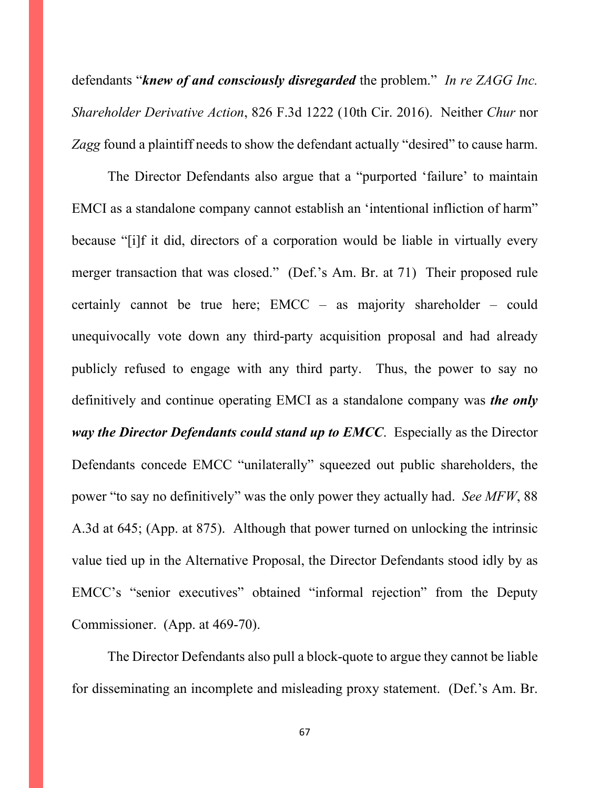defendants "*knew of and consciously disregarded* the problem." *In re ZAGG Inc. Shareholder Derivative Action*, 826 F.3d 1222 (10th Cir. 2016). Neither *Chur* nor *Zagg* found a plaintiff needs to show the defendant actually "desired" to cause harm.

The Director Defendants also argue that a "purported 'failure' to maintain EMCI as a standalone company cannot establish an 'intentional infliction of harm" because "[i]f it did, directors of a corporation would be liable in virtually every merger transaction that was closed." (Def.'s Am. Br. at 71) Their proposed rule certainly cannot be true here; EMCC – as majority shareholder – could unequivocally vote down any third-party acquisition proposal and had already publicly refused to engage with any third party. Thus, the power to say no definitively and continue operating EMCI as a standalone company was *the only way the Director Defendants could stand up to EMCC*. Especially as the Director Defendants concede EMCC "unilaterally" squeezed out public shareholders, the power "to say no definitively" was the only power they actually had. *See MFW*, 88 A.3d at 645; (App. at 875). Although that power turned on unlocking the intrinsic value tied up in the Alternative Proposal, the Director Defendants stood idly by as EMCC's "senior executives" obtained "informal rejection" from the Deputy Commissioner. (App. at 469-70).

The Director Defendants also pull a block-quote to argue they cannot be liable for disseminating an incomplete and misleading proxy statement. (Def.'s Am. Br.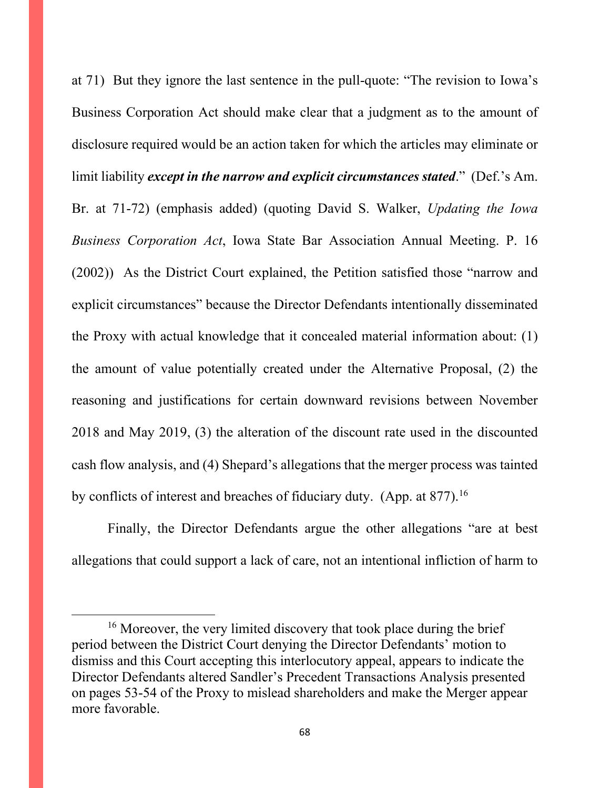at 71) But they ignore the last sentence in the pull-quote: "The revision to Iowa's Business Corporation Act should make clear that a judgment as to the amount of disclosure required would be an action taken for which the articles may eliminate or limit liability *except in the narrow and explicit circumstances stated*." (Def.'s Am. Br. at 71-72) (emphasis added) (quoting David S. Walker, *Updating the Iowa Business Corporation Act*, Iowa State Bar Association Annual Meeting. P. 16 (2002)) As the District Court explained, the Petition satisfied those "narrow and explicit circumstances" because the Director Defendants intentionally disseminated the Proxy with actual knowledge that it concealed material information about: (1) the amount of value potentially created under the Alternative Proposal, (2) the reasoning and justifications for certain downward revisions between November 2018 and May 2019, (3) the alteration of the discount rate used in the discounted cash flow analysis, and (4) Shepard's allegations that the merger process was tainted by conflicts of interest and breaches of fiduciary duty. (App. at 877).<sup>[16](#page-67-0)</sup>

Finally, the Director Defendants argue the other allegations "are at best allegations that could support a lack of care, not an intentional infliction of harm to

<span id="page-67-0"></span><sup>&</sup>lt;sup>16</sup> Moreover, the very limited discovery that took place during the brief period between the District Court denying the Director Defendants' motion to dismiss and this Court accepting this interlocutory appeal, appears to indicate the Director Defendants altered Sandler's Precedent Transactions Analysis presented on pages 53-54 of the Proxy to mislead shareholders and make the Merger appear more favorable.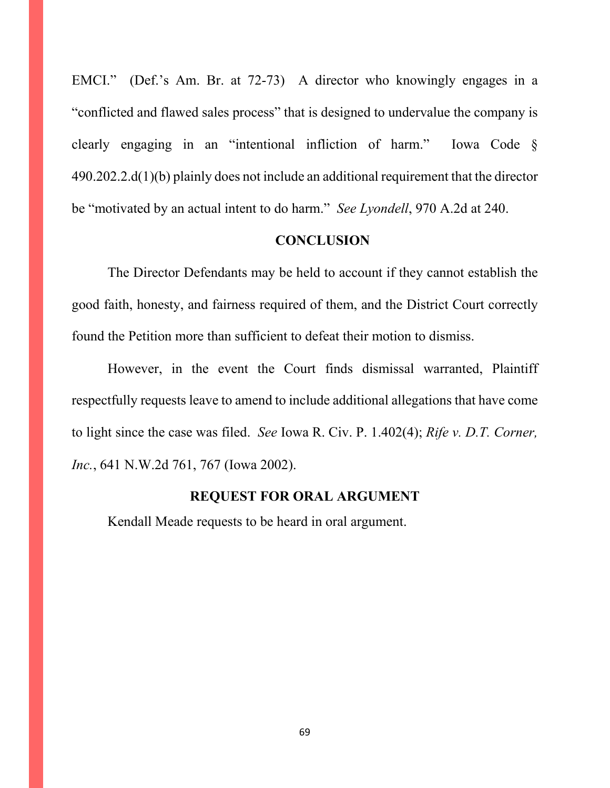EMCI." (Def.'s Am. Br. at 72-73) A director who knowingly engages in a "conflicted and flawed sales process" that is designed to undervalue the company is clearly engaging in an "intentional infliction of harm." Iowa Code § 490.202.2.d(1)(b) plainly does not include an additional requirement that the director be "motivated by an actual intent to do harm." *See Lyondell*, 970 A.2d at 240.

#### **CONCLUSION**

The Director Defendants may be held to account if they cannot establish the good faith, honesty, and fairness required of them, and the District Court correctly found the Petition more than sufficient to defeat their motion to dismiss.

However, in the event the Court finds dismissal warranted, Plaintiff respectfully requests leave to amend to include additional allegations that have come to light since the case was filed. *See* Iowa R. Civ. P. 1.402(4); *Rife v. D.T. Corner, Inc.*, 641 N.W.2d 761, 767 (Iowa 2002).

#### **REQUEST FOR ORAL ARGUMENT**

Kendall Meade requests to be heard in oral argument.